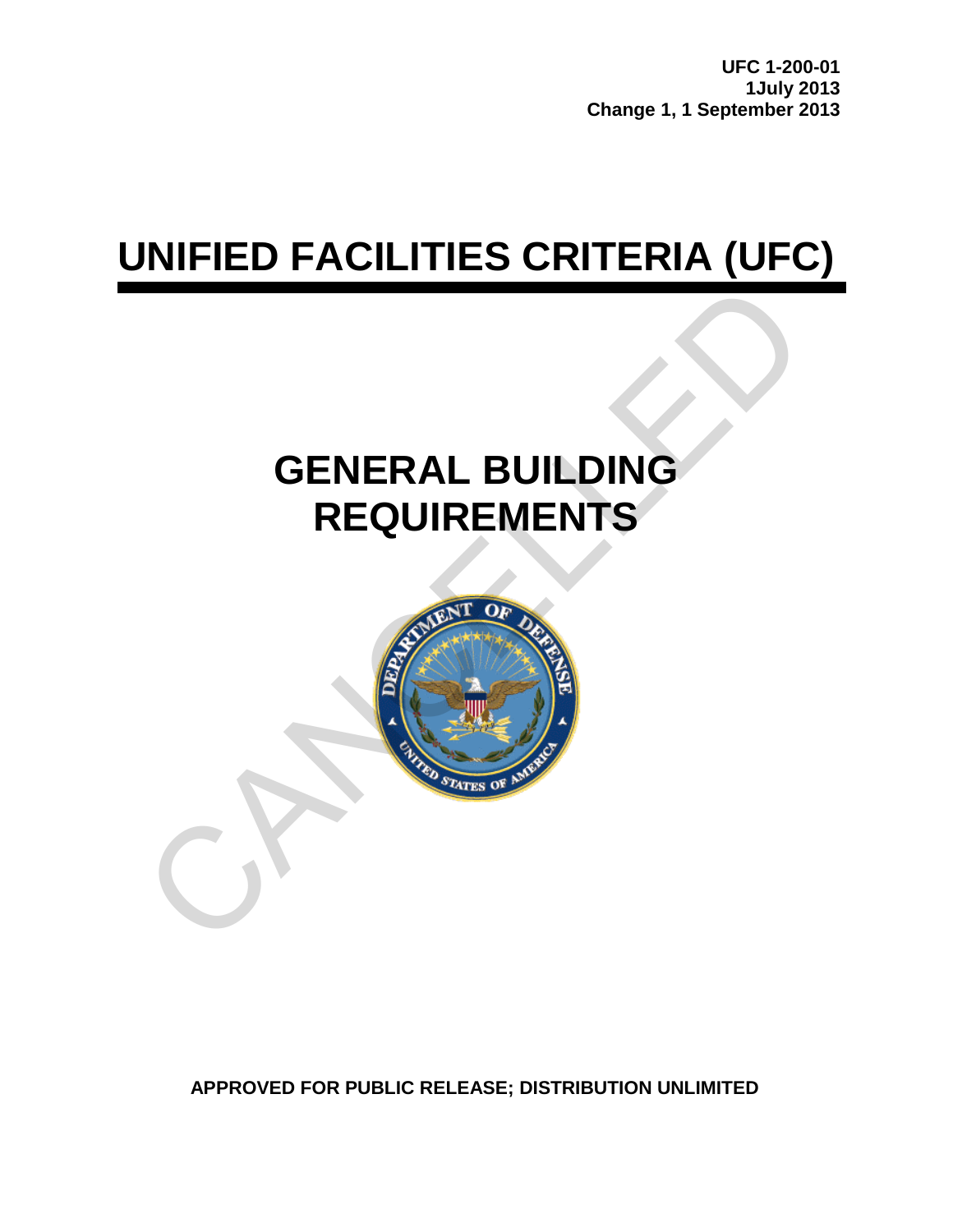# **UNIFIED FACILITIES CRITERIA (UFC)**

## **GENERAL BUILDING REQUIREMENTS**



**APPROVED FOR PUBLIC RELEASE; DISTRIBUTION UNLIMITED**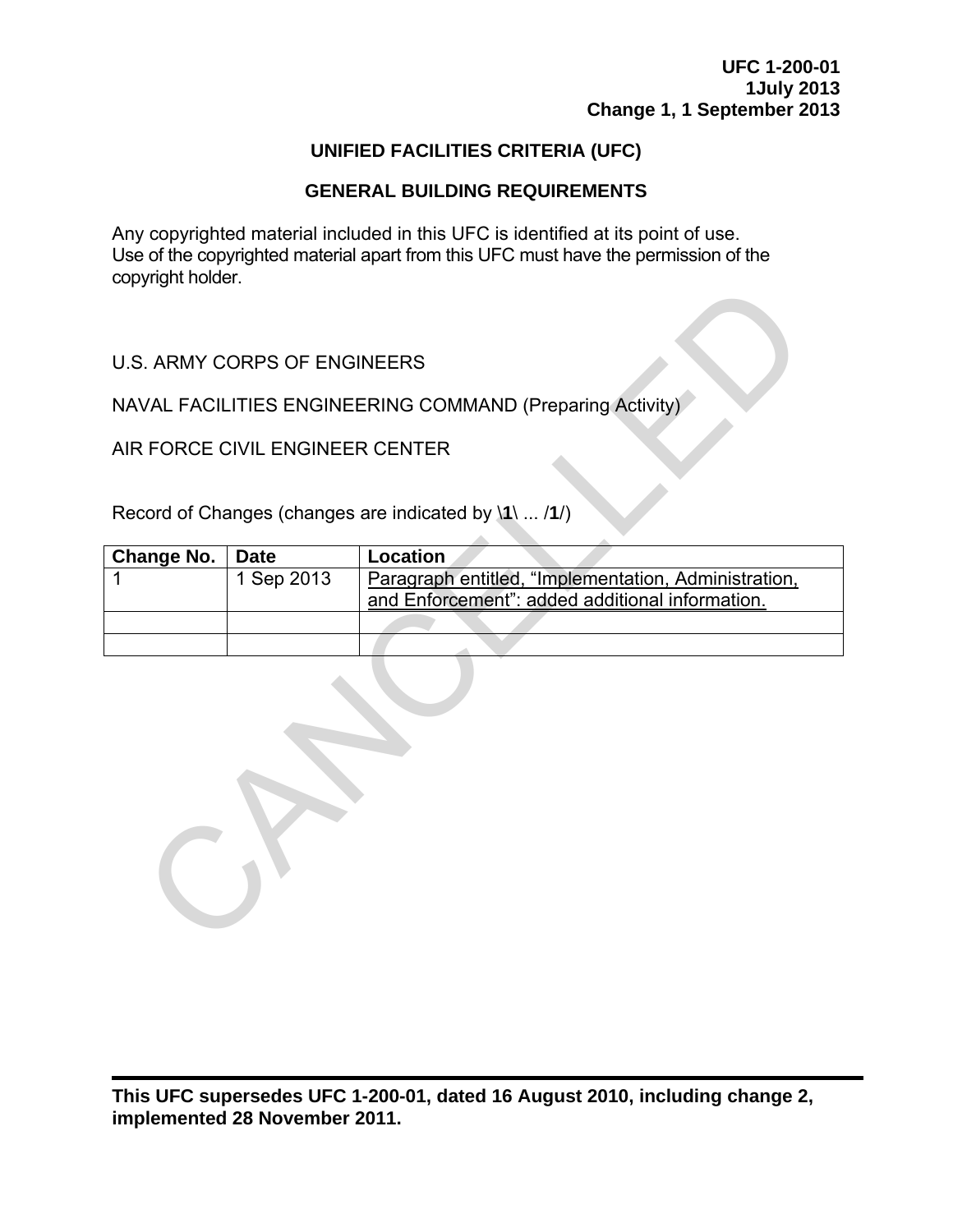## **UNIFIED FACILITIES CRITERIA (UFC)**

## **GENERAL BUILDING REQUIREMENTS**

Any copyrighted material included in this UFC is identified at its point of use. Use of the copyrighted material apart from this UFC must have the permission of the copyright holder.

U.S. ARMY CORPS OF ENGINEERS

NAVAL FACILITIES ENGINEERING COMMAND (Preparing Activity)

AIR FORCE CIVIL ENGINEER CENTER

Record of Changes (changes are indicated by \**1**\ ... /**1**/)

| Change No. | <b>Date</b> | Location                                             |
|------------|-------------|------------------------------------------------------|
|            | 1 Sep 2013  | Paragraph entitled, "Implementation, Administration, |
|            |             | and Enforcement": added additional information.      |
|            |             |                                                      |
|            |             |                                                      |

EXARMY CORPS OF ENGINEERS<br>
VAL FACILITIES ENGINEERING COMMAND (Preparing Activity)<br>
FORCE CIVIL ENGINEER CENTER<br>
Cord of Changes (changes are indicated by \f\ ... /1/)<br>
Inne No. 1 Sep 2013 Paragraph entitled, "Implementati

**This UFC supersedes UFC 1-200-01, dated 16 August 2010, including change 2, implemented 28 November 2011.**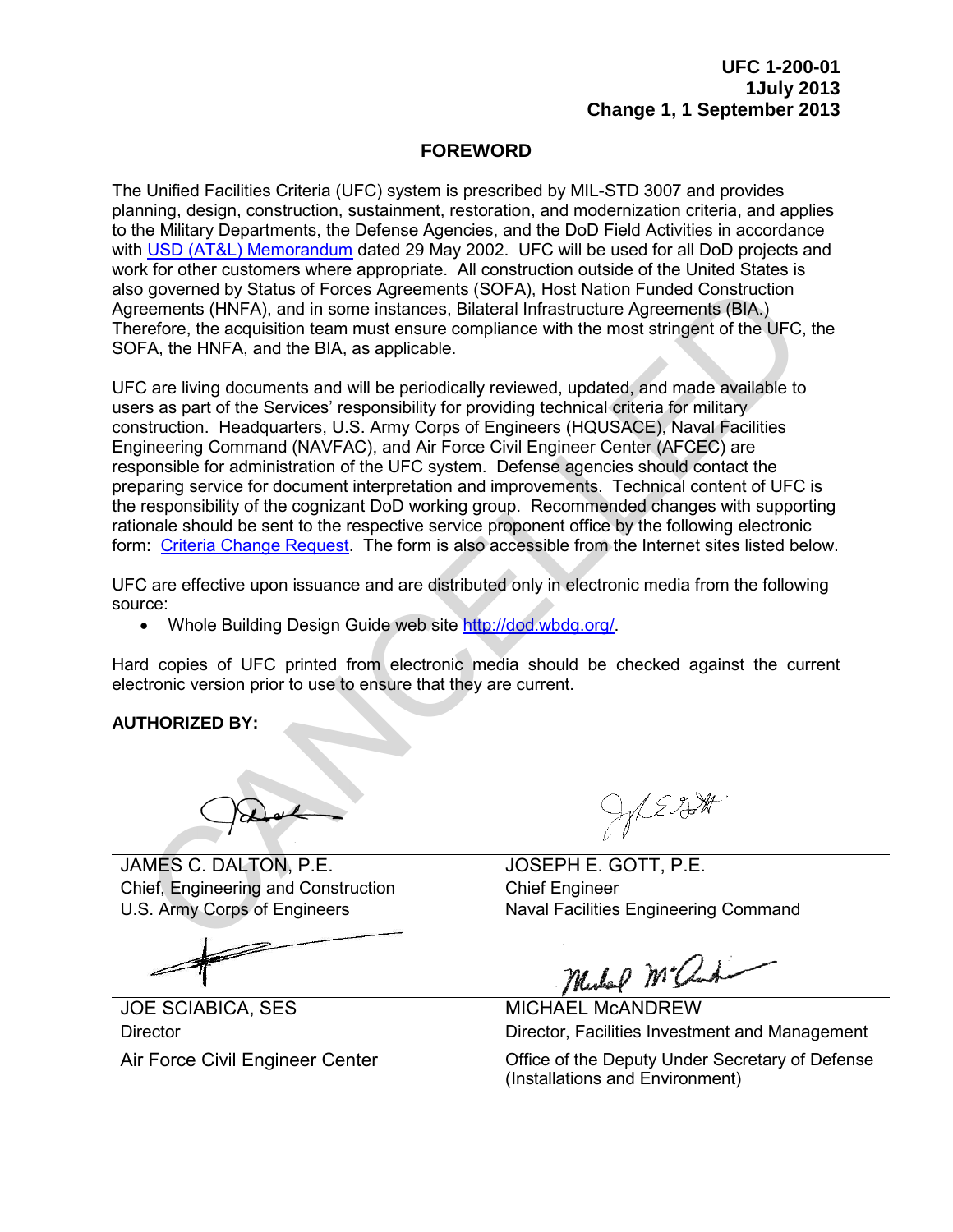#### **FOREWORD**

The Unified Facilities Criteria (UFC) system is prescribed by MIL-STD 3007 and provides planning, design, construction, sustainment, restoration, and modernization criteria, and applies to the Military Departments, the Defense Agencies, and the DoD Field Activities in accordance with [USD \(AT&L\) Memorandum](http://www.wbdg.org/pdfs/ufc_implementation.pdf) dated 29 May 2002. UFC will be used for all DoD projects and work for other customers where appropriate. All construction outside of the United States is also governed by Status of Forces Agreements (SOFA), Host Nation Funded Construction Agreements (HNFA), and in some instances, Bilateral Infrastructure Agreements (BIA.) Therefore, the acquisition team must ensure compliance with the most stringent of the UFC, the SOFA, the HNFA, and the BIA, as applicable.

UFC are living documents and will be periodically reviewed, updated, and made available to users as part of the Services' responsibility for providing technical criteria for military construction. Headquarters, U.S. Army Corps of Engineers (HQUSACE), Naval Facilities Engineering Command (NAVFAC), and Air Force Civil Engineer Center (AFCEC) are responsible for administration of the UFC system. Defense agencies should contact the preparing service for document interpretation and improvements. Technical content of UFC is the responsibility of the cognizant DoD working group. Recommended changes with supporting rationale should be sent to the respective service proponent office by the following electronic form: Criteria Change Request. The form is also accessible from the Internet sites listed below. governed by Status of Forcess Agreements (SDFA), Host Nathal Tunded Construction<br>enements (HNFA), and in some instances, Bilateral Infrastructure Agreements (BIA, b)<br>refore, the acquisition team must ensure compliance with

UFC are effective upon issuance and are distributed only in electronic media from the following source:

• Whole Building Design Guide web site http://dod.wbdg.org/.

Hard copies of UFC printed from electronic media should be checked against the current electronic version prior to use to ensure that they are current.

**AUTHORIZED BY:**

JAMES C. DALTON, P.E. JOSEPH E. GOTT, P.E. Chief, Engineering and Construction Chief Engineer

Mulad M'automent

U.S. Army Corps of Engineers Naval Facilities Engineering Command

Director Director, Facilities Investment and Management

Air Force Civil Engineer Center **Office of the Deputy Under Secretary of Defense** (Installations and Environment)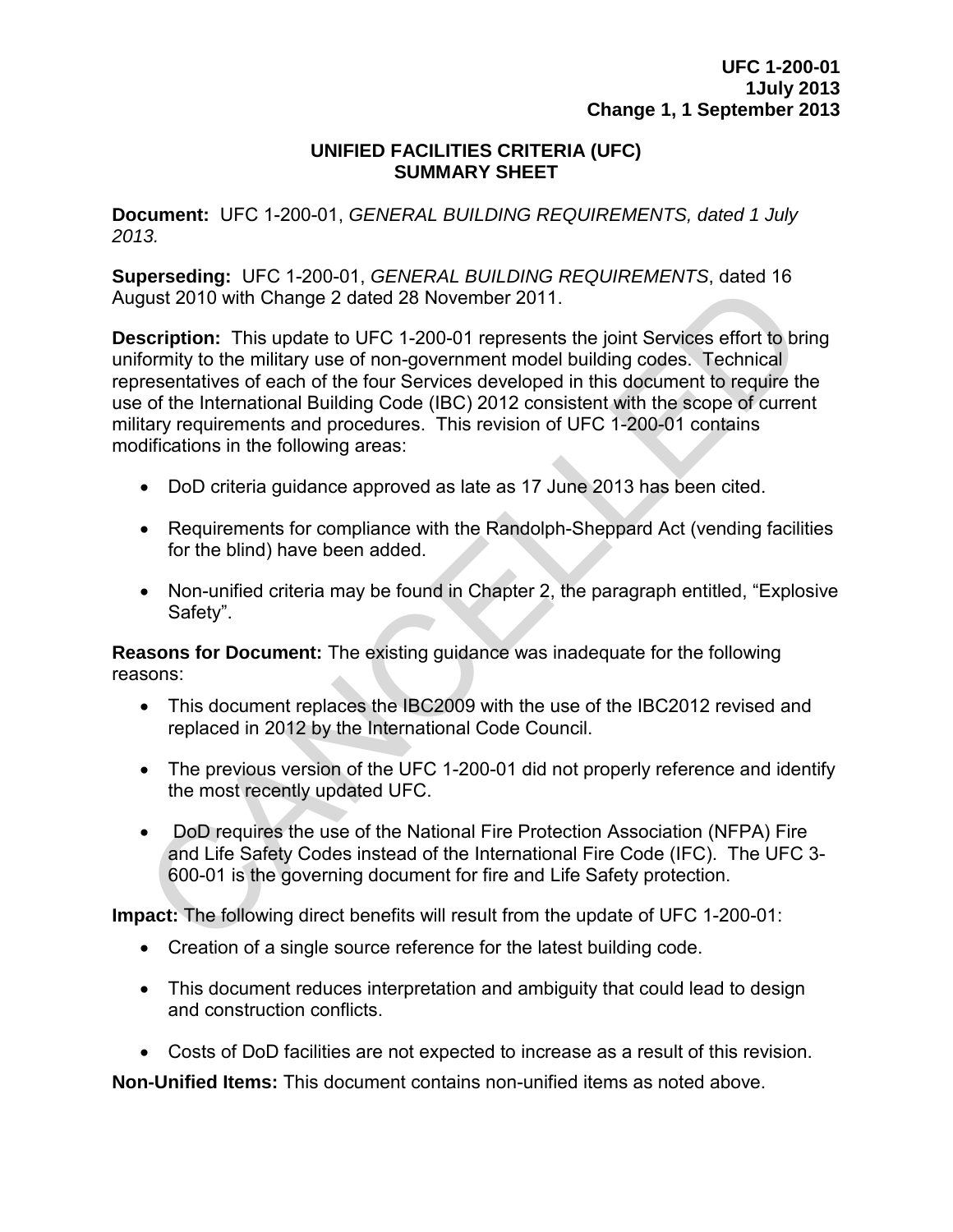#### **UNIFIED FACILITIES CRITERIA (UFC) SUMMARY SHEET**

**Document:** UFC 1-200-01, *GENERAL BUILDING REQUIREMENTS, dated 1 July 2013.*

**Superseding:** UFC 1-200-01, *GENERAL BUILDING REQUIREMENTS*, dated 16 August 2010 with Change 2 dated 28 November 2011.

**Description:** This update to UFC 1-200-01 represents the joint Services effort to bring uniformity to the military use of non-government model building codes. Technical representatives of each of the four Services developed in this document to require the use of the International Building Code (IBC) 2012 consistent with the scope of current military requirements and procedures. This revision of UFC 1-200-01 contains modifications in the following areas: Structure This update of UFC 1-200-01 represents the joint Services effort to bright any start 2010 with Change 2 dated 28 November 2011.<br>
Scription: This update to UFC 1-200-01 represents the joint Services effort to brow

- DoD criteria guidance approved as late as 17 June 2013 has been cited.
- Requirements for compliance with the Randolph-Sheppard Act (vending facilities for the blind) have been added.
- Non-unified criteria may be found in Chapter 2, the paragraph entitled, "Explosive Safety".

**Reasons for Document:** The existing guidance was inadequate for the following reasons:

- This document replaces the IBC2009 with the use of the IBC2012 revised and replaced in 2012 by the International Code Council.
- The previous version of the UFC 1-200-01 did not properly reference and identify the most recently updated UFC.
- DoD requires the use of the National Fire Protection Association (NFPA) Fire and Life Safety Codes instead of the International Fire Code (IFC). The UFC 3- 600-01 is the governing document for fire and Life Safety protection.

**Impact:** The following direct benefits will result from the update of UFC 1-200-01:

- Creation of a single source reference for the latest building code.
- This document reduces interpretation and ambiguity that could lead to design and construction conflicts.
- Costs of DoD facilities are not expected to increase as a result of this revision.

**Non-Unified Items:** This document contains non-unified items as noted above.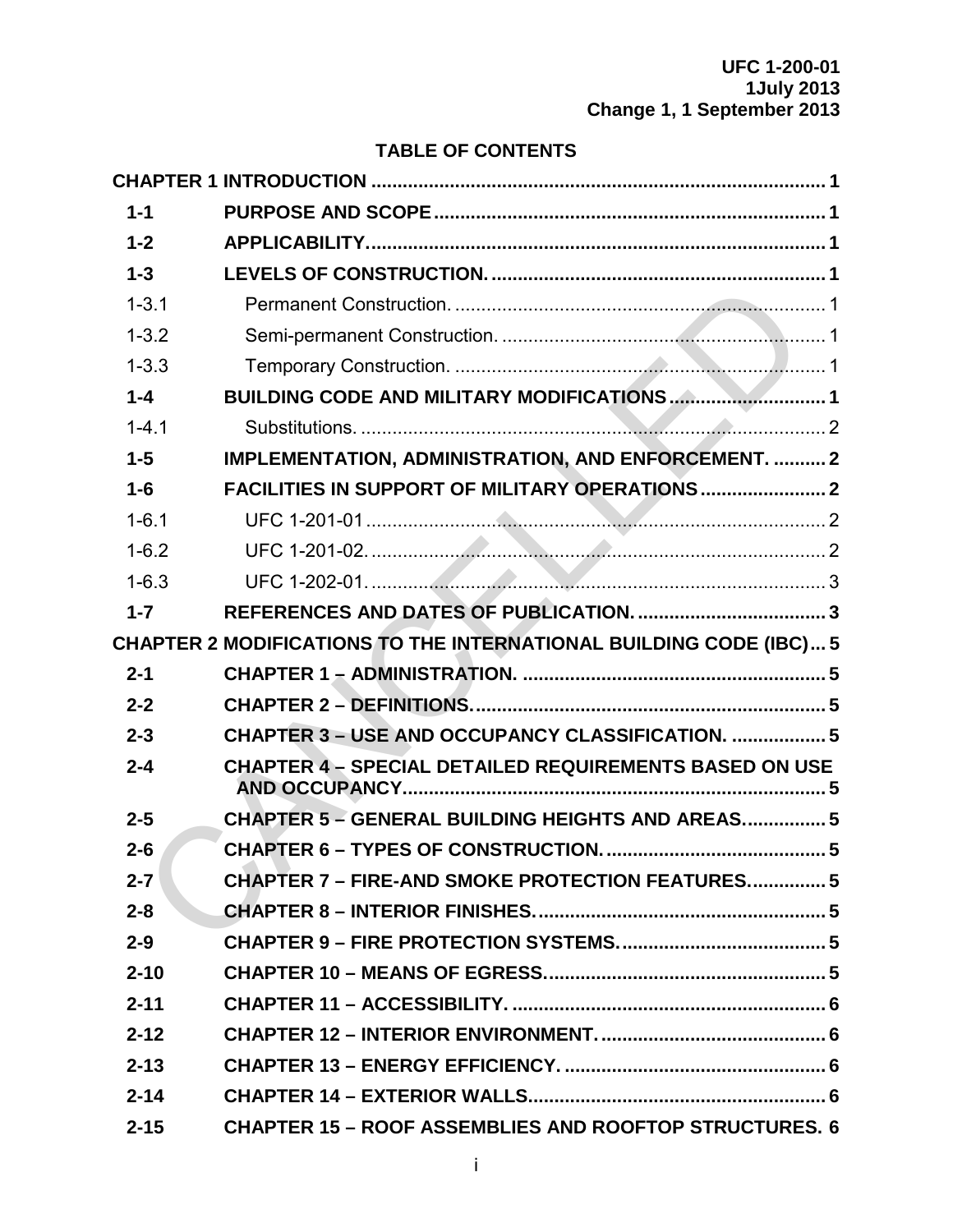## **TABLE OF CONTENTS**

| $1 - 1$   |                                                                           |
|-----------|---------------------------------------------------------------------------|
| $1 - 2$   |                                                                           |
| $1 - 3$   |                                                                           |
| $1 - 3.1$ |                                                                           |
| $1 - 3.2$ |                                                                           |
| $1 - 3.3$ |                                                                           |
| $1 - 4$   |                                                                           |
| $1 - 4.1$ |                                                                           |
| $1 - 5$   | IMPLEMENTATION, ADMINISTRATION, AND ENFORCEMENT.  2                       |
| $1 - 6$   | <b>FACILITIES IN SUPPORT OF MILITARY OPERATIONS 2</b>                     |
| $1 - 6.1$ |                                                                           |
| $1 - 6.2$ |                                                                           |
| $1 - 6.3$ |                                                                           |
| $1 - 7$   |                                                                           |
|           | <b>CHAPTER 2 MODIFICATIONS TO THE INTERNATIONAL BUILDING CODE (IBC) 5</b> |
| $2 - 1$   |                                                                           |
| $2 - 2$   |                                                                           |
| $2 - 3$   | CHAPTER 3 - USE AND OCCUPANCY CLASSIFICATION.  5                          |
| $2 - 4$   | <b>CHAPTER 4 - SPECIAL DETAILED REQUIREMENTS BASED ON USE</b>             |
| $2 - 5$   | <b>CHAPTER 5 - GENERAL BUILDING HEIGHTS AND AREAS 5</b>                   |
| $2 - 6$   |                                                                           |
| $2 - 7$   | CHAPTER 7 - FIRE-AND SMOKE PROTECTION FEATURES 5                          |
| $2 - 8$   |                                                                           |
| $2 - 9$   |                                                                           |
| $2 - 10$  |                                                                           |
| $2 - 11$  |                                                                           |
| $2 - 12$  |                                                                           |
| $2 - 13$  |                                                                           |
| $2 - 14$  |                                                                           |
| $2 - 15$  | <b>CHAPTER 15 - ROOF ASSEMBLIES AND ROOFTOP STRUCTURES. 6</b>             |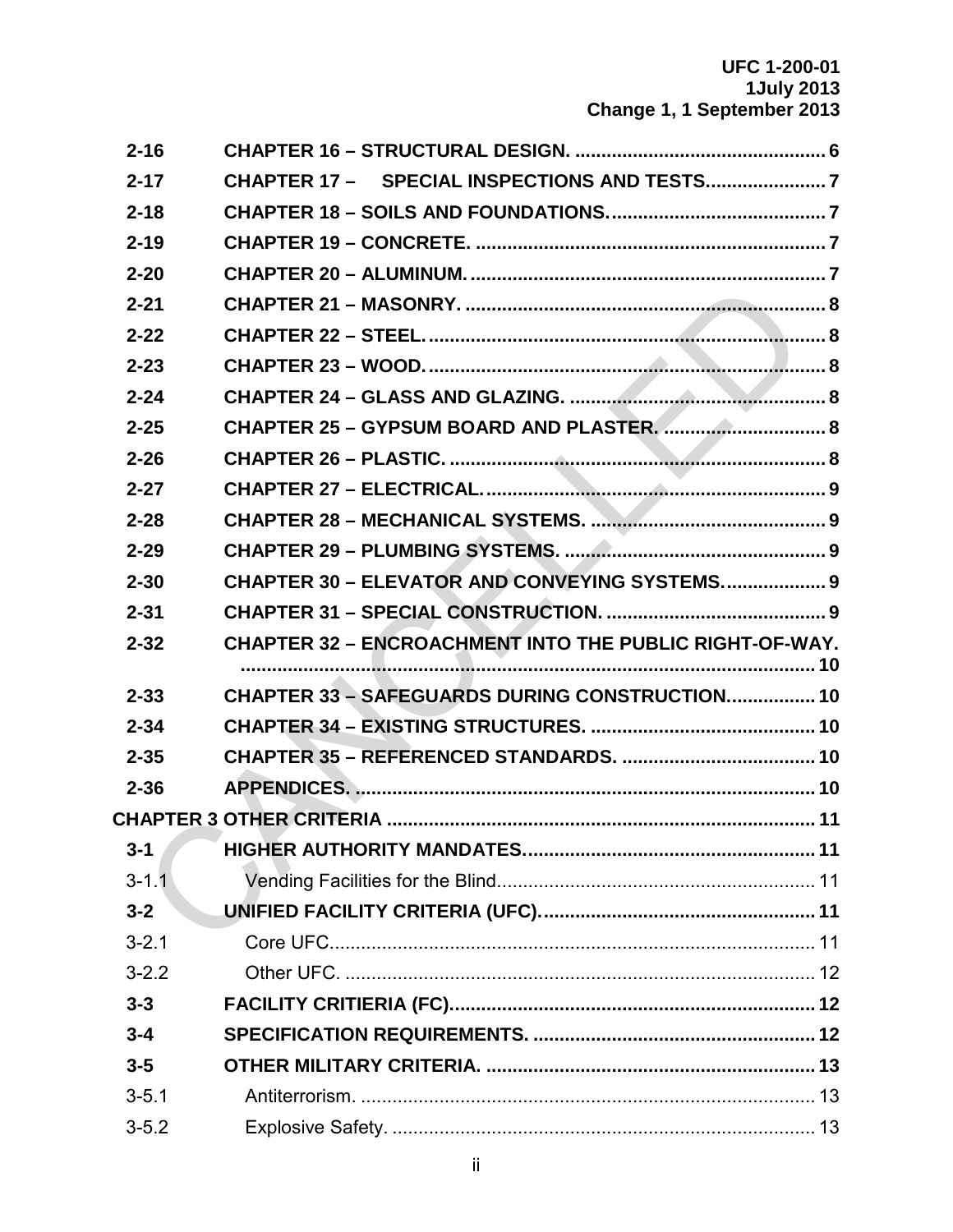| $2 - 16$  |                                                                |  |
|-----------|----------------------------------------------------------------|--|
| $2 - 17$  |                                                                |  |
| $2 - 18$  |                                                                |  |
| $2 - 19$  |                                                                |  |
| $2 - 20$  |                                                                |  |
| $2 - 21$  |                                                                |  |
| $2 - 22$  |                                                                |  |
| $2 - 23$  |                                                                |  |
| $2 - 24$  |                                                                |  |
| $2 - 25$  |                                                                |  |
| $2 - 26$  |                                                                |  |
| $2 - 27$  |                                                                |  |
| $2 - 28$  |                                                                |  |
| $2 - 29$  |                                                                |  |
| $2 - 30$  | CHAPTER 30 - ELEVATOR AND CONVEYING SYSTEMS 9                  |  |
| $2 - 31$  |                                                                |  |
| $2 - 32$  | <b>CHAPTER 32 - ENCROACHMENT INTO THE PUBLIC RIGHT-OF-WAY.</b> |  |
| $2 - 33$  | <b>CHAPTER 33 - SAFEGUARDS DURING CONSTRUCTION 10</b>          |  |
| $2 - 34$  |                                                                |  |
| $2 - 35$  |                                                                |  |
| $2 - 36$  |                                                                |  |
|           |                                                                |  |
| $3 - 1$   |                                                                |  |
| $3 - 1.1$ |                                                                |  |
| $3 - 2$   |                                                                |  |
| $3 - 2.1$ |                                                                |  |
| $3 - 2.2$ |                                                                |  |
| $3 - 3$   |                                                                |  |
| $3 - 4$   |                                                                |  |
| $3 - 5$   |                                                                |  |
| $3 - 5.1$ |                                                                |  |
| $3 - 5.2$ |                                                                |  |
|           |                                                                |  |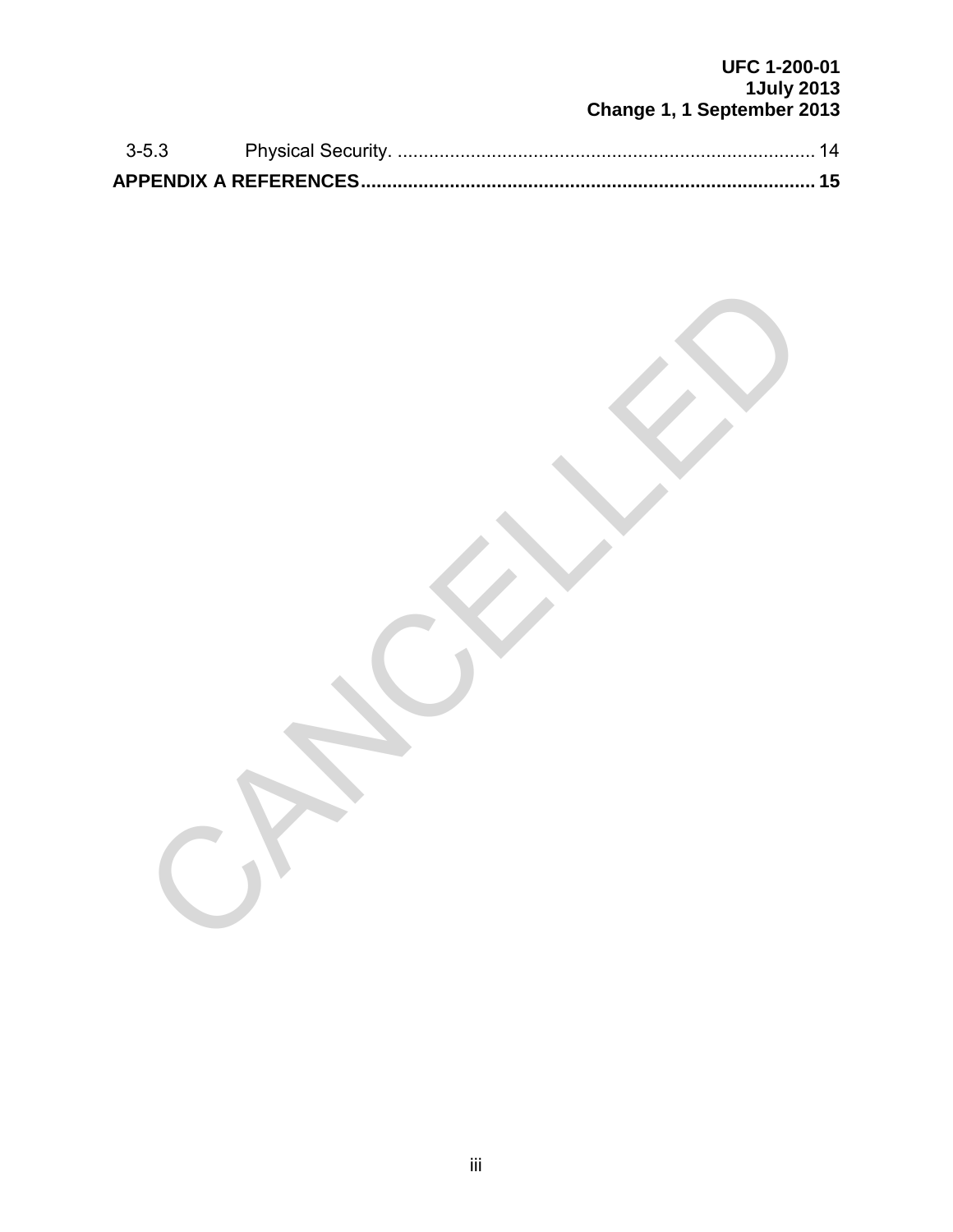| $3 - 5.3$ |  |
|-----------|--|
|           |  |

CANCELLED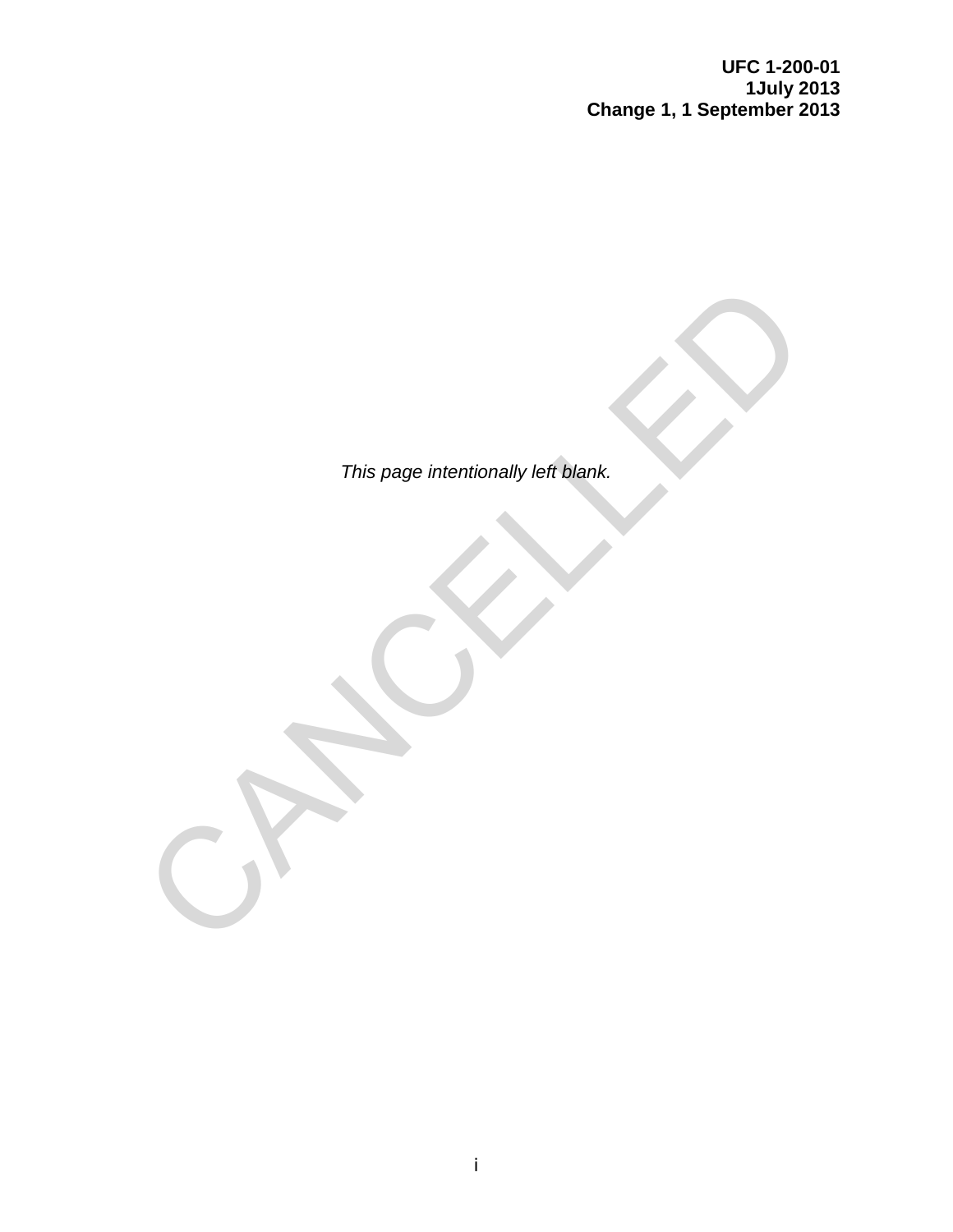*This page intentionally left blank.* This page intentionally left blank.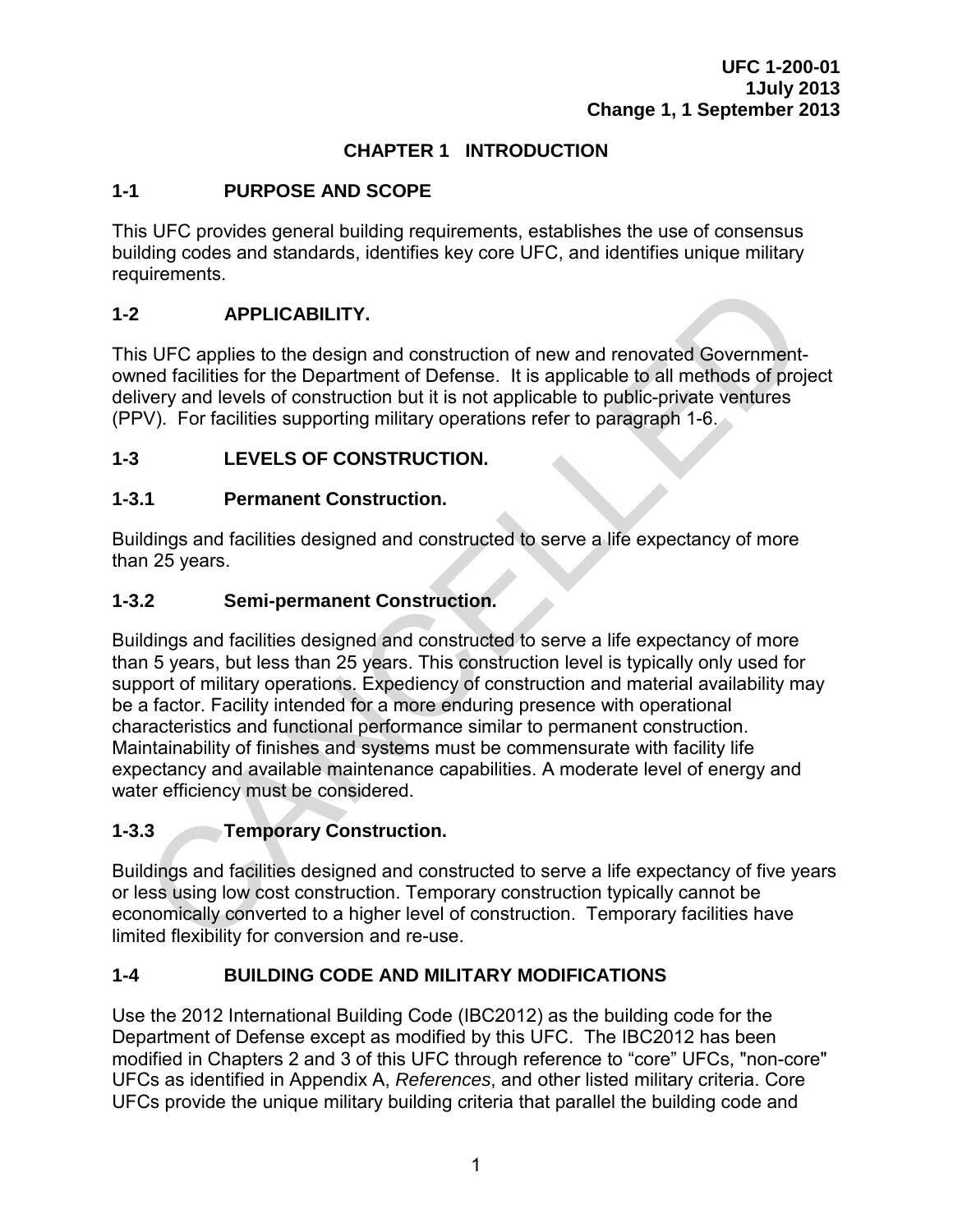## <span id="page-8-0"></span>**CHAPTER 1 INTRODUCTION**

## <span id="page-8-1"></span>**1-1 PURPOSE AND SCOPE**

This UFC provides general building requirements, establishes the use of consensus building codes and standards, identifies key core UFC, and identifies unique military requirements.

## <span id="page-8-2"></span>**1-2 APPLICABILITY.**

This UFC applies to the design and construction of new and renovated Governmentowned facilities for the Department of Defense. It is applicable to all methods of project delivery and levels of construction but it is not applicable to public-private ventures (PPV). For facilities supporting military operations refer to paragraph 1-6.

## <span id="page-8-3"></span>**1-3 LEVELS OF CONSTRUCTION.**

## <span id="page-8-4"></span>**1-3.1 Permanent Construction.**

Buildings and facilities designed and constructed to serve a life expectancy of more than 25 years.

## <span id="page-8-5"></span>**1-3.2 Semi-permanent Construction.**

Buildings and facilities designed and constructed to serve a life expectancy of more than 5 years, but less than 25 years. This construction level is typically only used for support of military operations. Expediency of construction and material availability may be a factor. Facility intended for a more enduring presence with operational characteristics and functional performance similar to permanent construction. Maintainability of finishes and systems must be commensurate with facility life expectancy and available maintenance capabilities. A moderate level of energy and water efficiency must be considered. **APPLICABILITY.**<br>
SUFC applies to the design and construction of new and renovated Government<br>
ed facilities for the Department of Defense. It is applicable to all methods of projectivery and levels of construction but it

## <span id="page-8-6"></span>**1-3.3 Temporary Construction.**

Buildings and facilities designed and constructed to serve a life expectancy of five years or less using low cost construction. Temporary construction typically cannot be economically converted to a higher level of construction. Temporary facilities have limited flexibility for conversion and re-use.

## <span id="page-8-7"></span>**1-4 BUILDING CODE AND MILITARY MODIFICATIONS**

Use the 2012 International Building Code (IBC2012) as the building code for the Department of Defense except as modified by this UFC. The IBC2012 has been modified in Chapters 2 and 3 of this UFC through reference to "core" UFCs, "non-core" UFCs as identified in Appendix A, *References*, and other listed military criteria. Core UFCs provide the unique military building criteria that parallel the building code and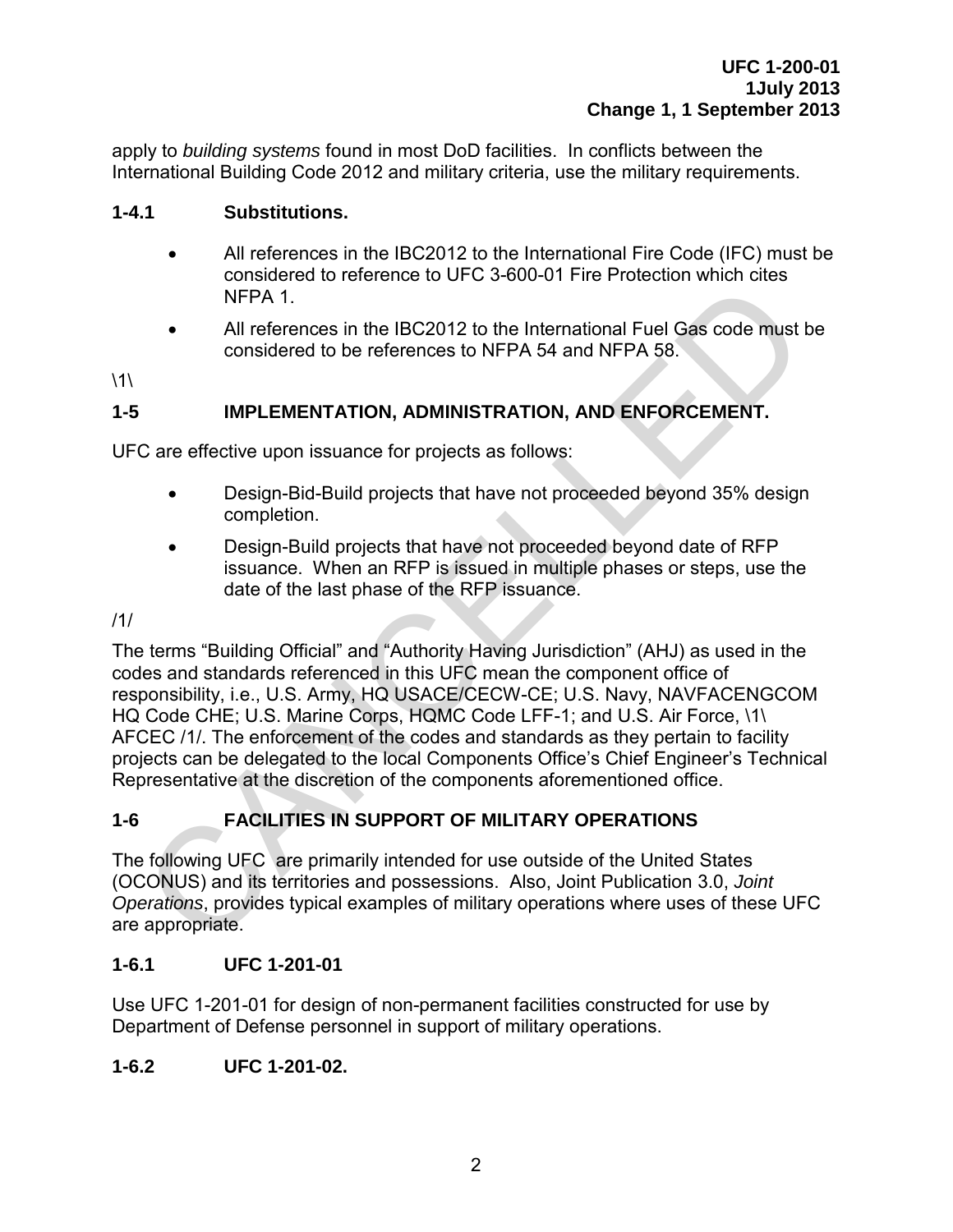apply to *building systems* found in most DoD facilities. In conflicts between the International Building Code 2012 and military criteria, use the military requirements.

## <span id="page-9-0"></span>**1-4.1 Substitutions.**

- All references in the IBC2012 to the International Fire Code (IFC) must be considered to reference to UFC 3-600-01 Fire Protection which cites NFPA 1.
- All references in the IBC2012 to the International Fuel Gas code must be considered to be references to NFPA 54 and NFPA 58.

 $\backslash$ 1 $\backslash$ 

## <span id="page-9-1"></span>**1-5 IMPLEMENTATION, ADMINISTRATION, AND ENFORCEMENT.**

UFC are effective upon issuance for projects as follows:

- Design-Bid-Build projects that have not proceeded beyond 35% design completion.
- Design-Build projects that have not proceeded beyond date of RFP issuance. When an RFP is issued in multiple phases or steps, use the date of the last phase of the RFP issuance.

## /1/

The terms "Building Official" and "Authority Having Jurisdiction" (AHJ) as used in the codes and standards referenced in this UFC mean the component office of responsibility, i.e., U.S. Army, HQ USACE/CECW-CE; U.S. Navy, NAVFACENGCOM HQ Code CHE; U.S. Marine Corps, HQMC Code LFF-1; and U.S. Air Force, \1\ AFCEC /1/. The enforcement of the codes and standards as they pertain to facility projects can be delegated to the local Components Office's Chief Engineer's Technical Representative at the discretion of the components aforementioned office. NFPA 1.<br>
• All references in the IBC2012 to the International Fuel Gas code must<br>
considered to be references to NFPA 54 and NFPA 58.<br>
IMPLEMENTATION, ADMINISTRATION, AND ENFORCEMENT.<br>
Care effective upon issuance for proj

## <span id="page-9-2"></span>**1-6 FACILITIES IN SUPPORT OF MILITARY OPERATIONS**

The following UFC are primarily intended for use outside of the United States (OCONUS) and its territories and possessions. Also, Joint Publication 3.0, *Joint Operations*, provides typical examples of military operations where uses of these UFC are appropriate.

## <span id="page-9-3"></span>**1-6.1 UFC 1-201-01**

Use UFC 1-201-01 for design of non-permanent facilities constructed for use by Department of Defense personnel in support of military operations.

## <span id="page-9-4"></span>**1-6.2 UFC 1-201-02.**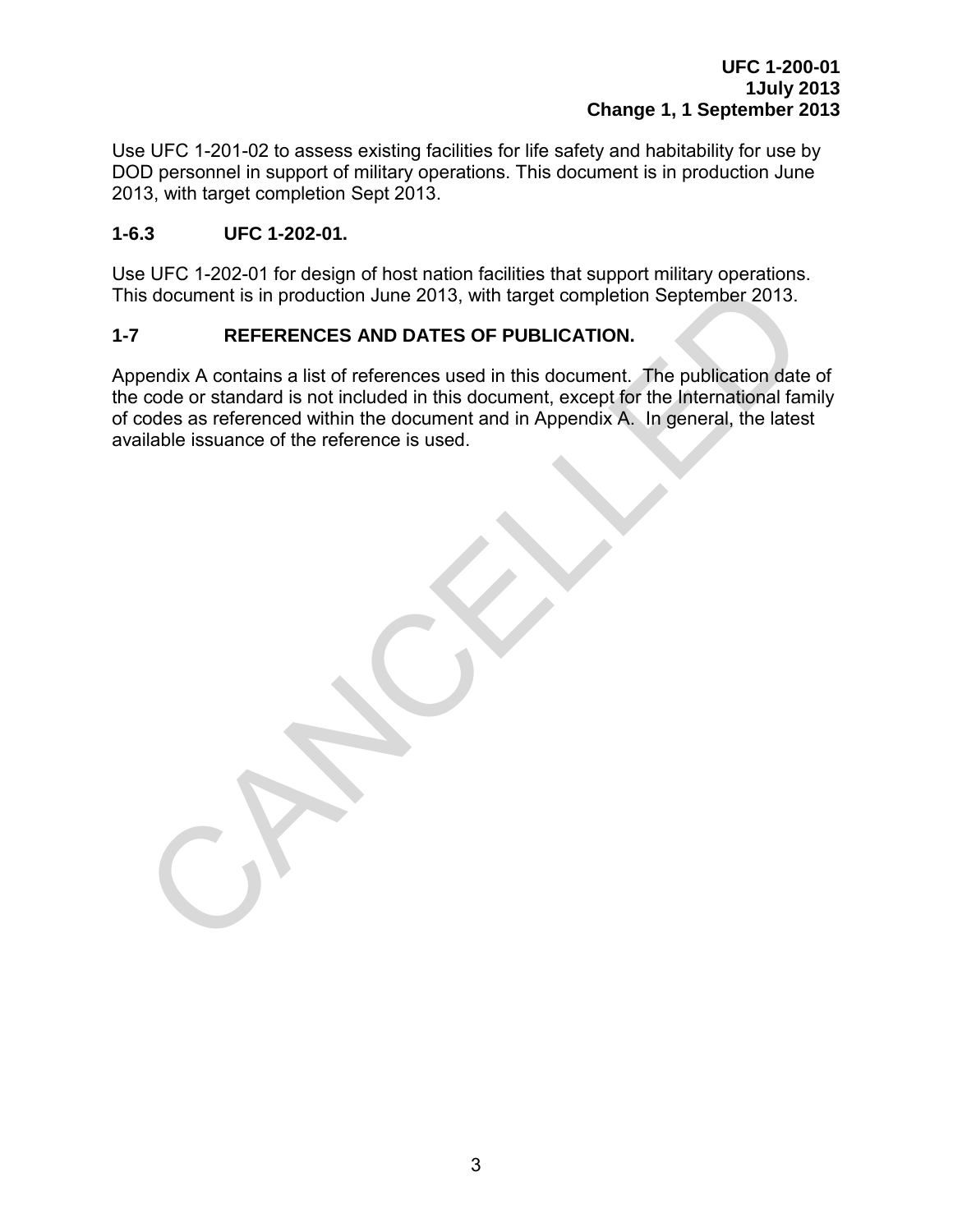Use UFC 1-201-02 to assess existing facilities for life safety and habitability for use by DOD personnel in support of military operations. This document is in production June 2013, with target completion Sept 2013.

#### <span id="page-10-0"></span>**1-6.3 UFC 1-202-01.**

Use UFC 1-202-01 for design of host nation facilities that support military operations. This document is in production June 2013, with target completion September 2013.

#### <span id="page-10-1"></span>**1-7 REFERENCES AND DATES OF PUBLICATION.**

Appendix A contains a list of references used in this document. The publication date of the code or standard is not included in this document, except for the International family of codes as referenced within the document and in Appendix A. In general, the latest available issuance of the reference is used. s document is in production June 2013, with target completion September 2013.<br>
REFERENCES AND DATES OF PUBLICATION.<br>
Nendix A contains a list of references used in this document. The publication date<br>
code or standard is n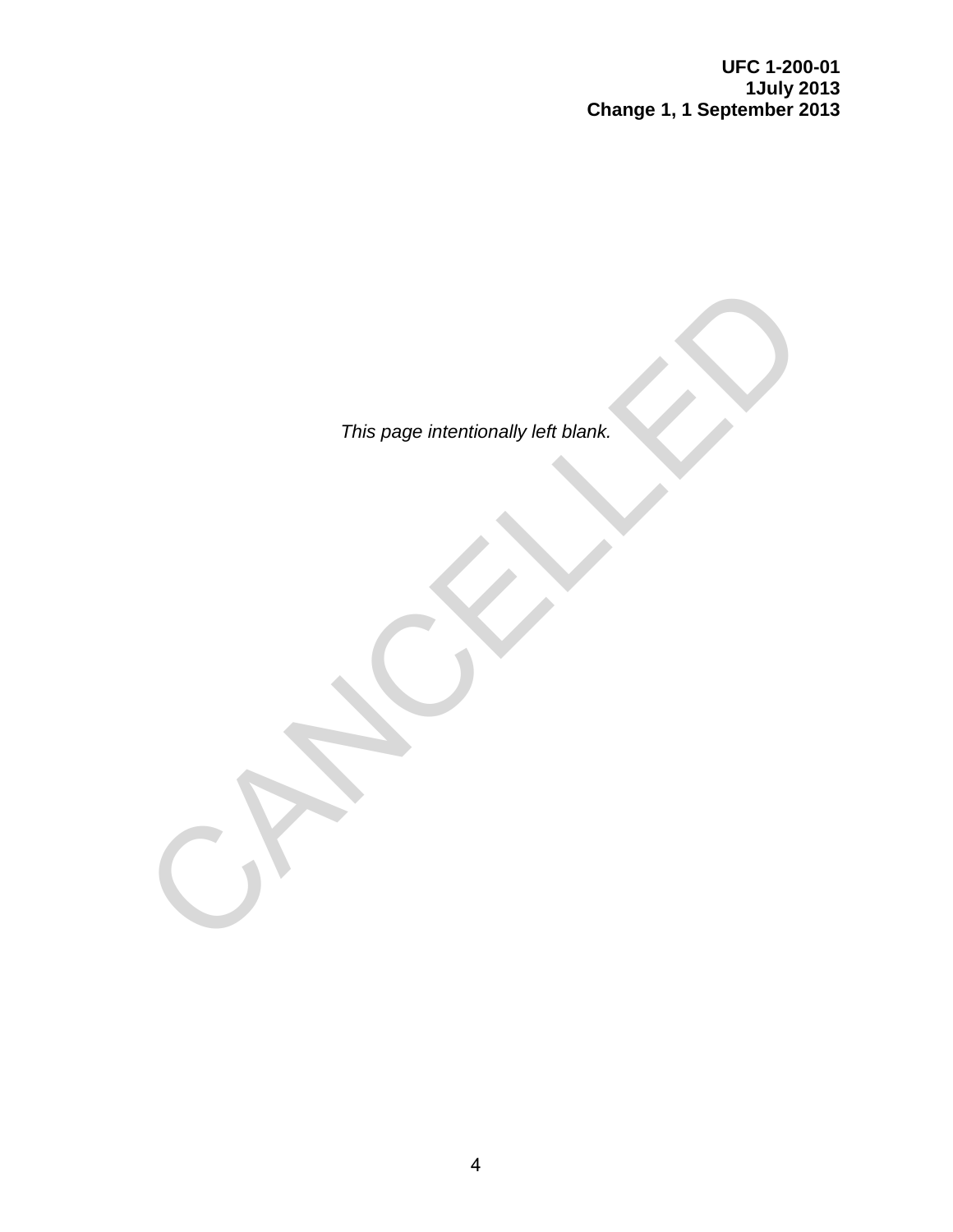*This page intentionally left blank.* This page intentionally left blank.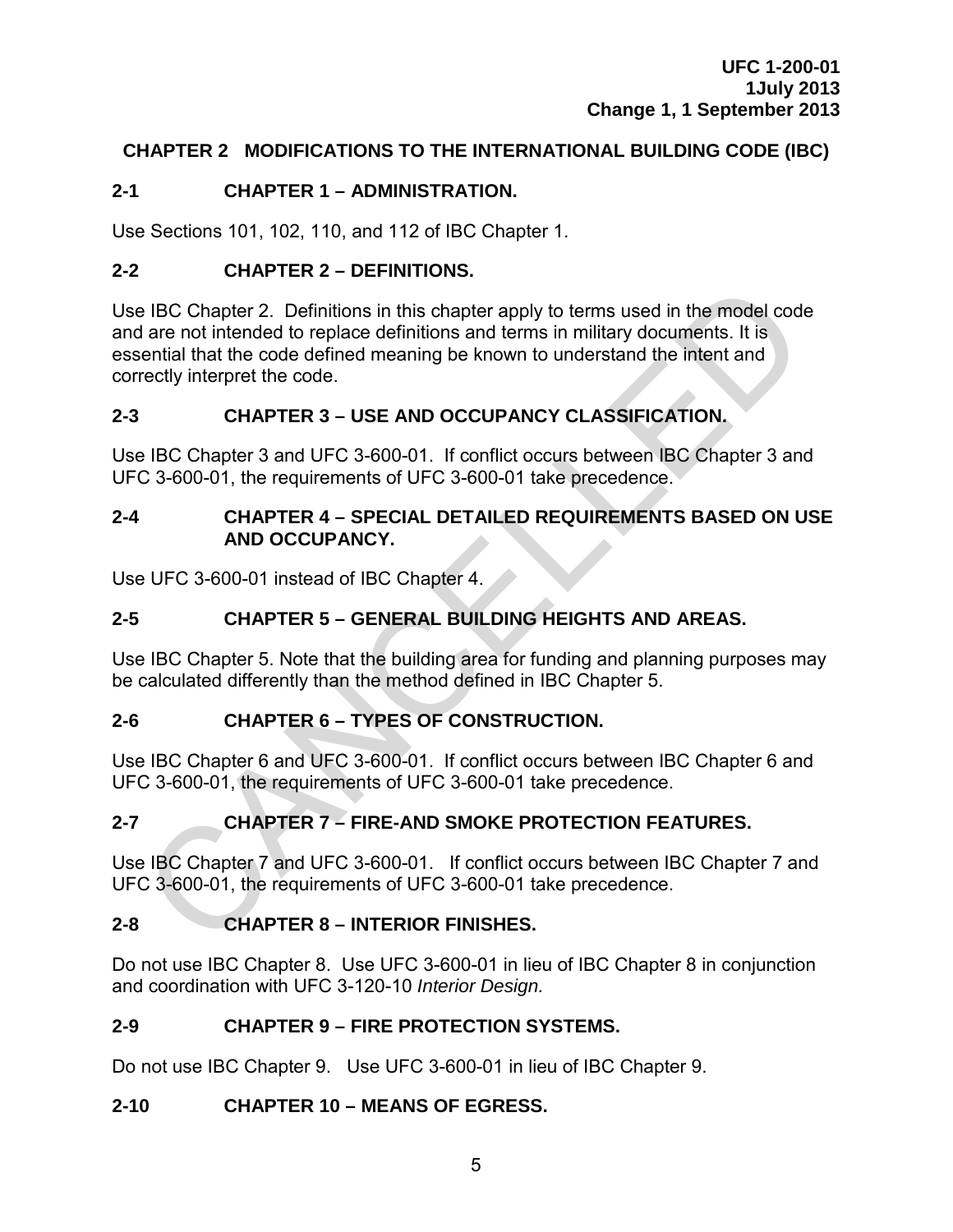## <span id="page-12-0"></span>**CHAPTER 2 MODIFICATIONS TO THE INTERNATIONAL BUILDING CODE (IBC)**

## <span id="page-12-1"></span>**2-1 CHAPTER 1 – ADMINISTRATION.**

Use Sections 101, 102, 110, and 112 of IBC Chapter 1.

## <span id="page-12-2"></span>**2-2 CHAPTER 2 – DEFINITIONS.**

Use IBC Chapter 2. Definitions in this chapter apply to terms used in the model code and are not intended to replace definitions and terms in military documents. It is essential that the code defined meaning be known to understand the intent and correctly interpret the code. 9 IBC Chapter 2. Definitions in this chapter apply to terms used in the model code<br>are not intended to replace definitions and terms in military documents. It is<br>ential that the code defined meaning be known to understand

## <span id="page-12-3"></span>**2-3 CHAPTER 3 – USE AND OCCUPANCY CLASSIFICATION.**

Use IBC Chapter 3 and UFC 3-600-01. If conflict occurs between IBC Chapter 3 and UFC 3-600-01, the requirements of UFC 3-600-01 take precedence.

#### <span id="page-12-4"></span>**2-4 CHAPTER 4 – SPECIAL DETAILED REQUIREMENTS BASED ON USE AND OCCUPANCY.**

Use UFC 3-600-01 instead of IBC Chapter 4.

## <span id="page-12-5"></span>**2-5 CHAPTER 5 – GENERAL BUILDING HEIGHTS AND AREAS.**

Use IBC Chapter 5. Note that the building area for funding and planning purposes may be calculated differently than the method defined in IBC Chapter 5.

## <span id="page-12-6"></span>**2-6 CHAPTER 6 – TYPES OF CONSTRUCTION.**

Use IBC Chapter 6 and UFC 3-600-01. If conflict occurs between IBC Chapter 6 and UFC 3-600-01, the requirements of UFC 3-600-01 take precedence.

## <span id="page-12-7"></span>**2-7 CHAPTER 7 – FIRE-AND SMOKE PROTECTION FEATURES.**

Use IBC Chapter 7 and UFC 3-600-01. If conflict occurs between IBC Chapter 7 and UFC 3-600-01, the requirements of UFC 3-600-01 take precedence.

## <span id="page-12-8"></span>**2-8 CHAPTER 8 – INTERIOR FINISHES.**

Do not use IBC Chapter 8. Use UFC 3-600-01 in lieu of IBC Chapter 8 in conjunction and coordination with UFC 3-120-10 *Interior Design.*

## <span id="page-12-9"></span>**2-9 CHAPTER 9 – FIRE PROTECTION SYSTEMS.**

Do not use IBC Chapter 9. Use UFC 3-600-01 in lieu of IBC Chapter 9.

## <span id="page-12-10"></span>**2-10 CHAPTER 10 – MEANS OF EGRESS.**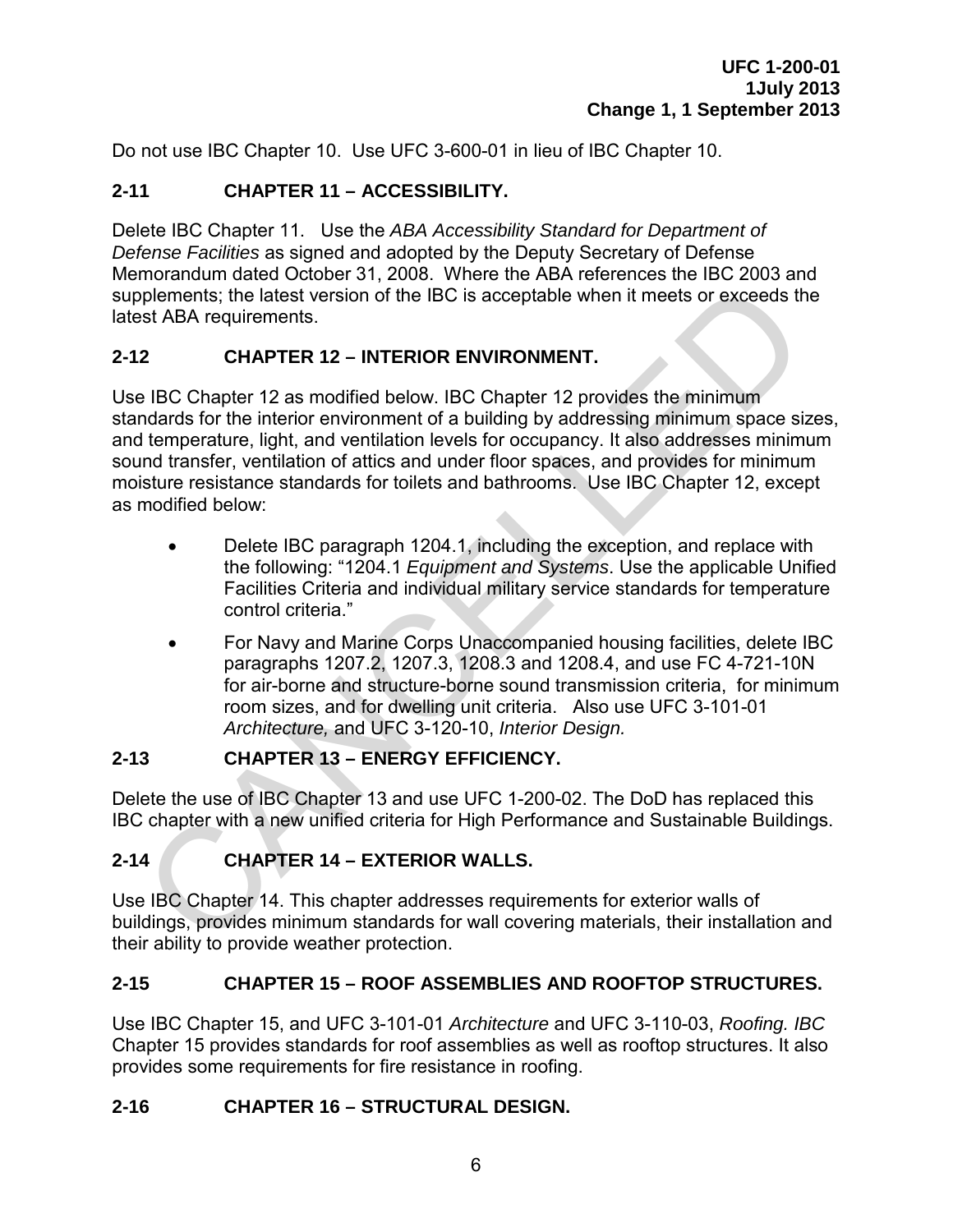Do not use IBC Chapter 10. Use UFC 3-600-01 in lieu of IBC Chapter 10.

## <span id="page-13-0"></span>**2-11 CHAPTER 11 – ACCESSIBILITY.**

Delete IBC Chapter 11. Use the *ABA Accessibility Standard for Department of Defense Facilities* as signed and adopted by the Deputy Secretary of Defense Memorandum dated October 31, 2008. Where the ABA references the IBC 2003 and supplements; the latest version of the IBC is acceptable when it meets or exceeds the latest ABA requirements.

## <span id="page-13-1"></span>**2-12 CHAPTER 12 – INTERIOR ENVIRONMENT.**

Use IBC Chapter 12 as modified below. IBC Chapter 12 provides the minimum standards for the interior environment of a building by addressing minimum space sizes, and temperature, light, and ventilation levels for occupancy. It also addresses minimum sound transfer, ventilation of attics and under floor spaces, and provides for minimum moisture resistance standards for toilets and bathrooms. Use IBC Chapter 12, except as modified below: plements; the latest version of the IBC is acceptable when it meets or exceeds the<br>
StaBA requirements.<br>
2 CHAPTER 12 – INTERIOR ENVIRONMENT.<br>
2 CHAPTER 12 – INTERIOR ENVIRONMENT.<br>
2 IBC Chapter 12 as modified below. IBC C

- Delete IBC paragraph 1204.1, including the exception, and replace with the following: "1204.1 *Equipment and Systems*. Use the applicable Unified Facilities Criteria and individual military service standards for temperature control criteria."
- For Navy and Marine Corps Unaccompanied housing facilities, delete IBC paragraphs 1207.2, 1207.3, 1208.3 and 1208.4, and use FC 4-721-10N for air-borne and structure-borne sound transmission criteria, for minimum room sizes, and for dwelling unit criteria. Also use UFC 3-101-01 *Architecture,* and UFC 3-120-10, *Interior Design.*

## <span id="page-13-2"></span>**2-13 CHAPTER 13 – ENERGY EFFICIENCY.**

Delete the use of IBC Chapter 13 and use UFC 1-200-02. The DoD has replaced this IBC chapter with a new unified criteria for High Performance and Sustainable Buildings.

## <span id="page-13-3"></span>**2-14 CHAPTER 14 – EXTERIOR WALLS.**

Use IBC Chapter 14. This chapter addresses requirements for exterior walls of buildings, provides minimum standards for wall covering materials, their installation and their ability to provide weather protection.

## <span id="page-13-4"></span>**2-15 CHAPTER 15 – ROOF ASSEMBLIES AND ROOFTOP STRUCTURES.**

Use IBC Chapter 15, and UFC 3-101-01 *Architecture* and UFC 3-110-03, *Roofing. IBC*  Chapter 15 provides standards for roof assemblies as well as rooftop structures. It also provides some requirements for fire resistance in roofing.

## <span id="page-13-5"></span>**2-16 CHAPTER 16 – STRUCTURAL DESIGN.**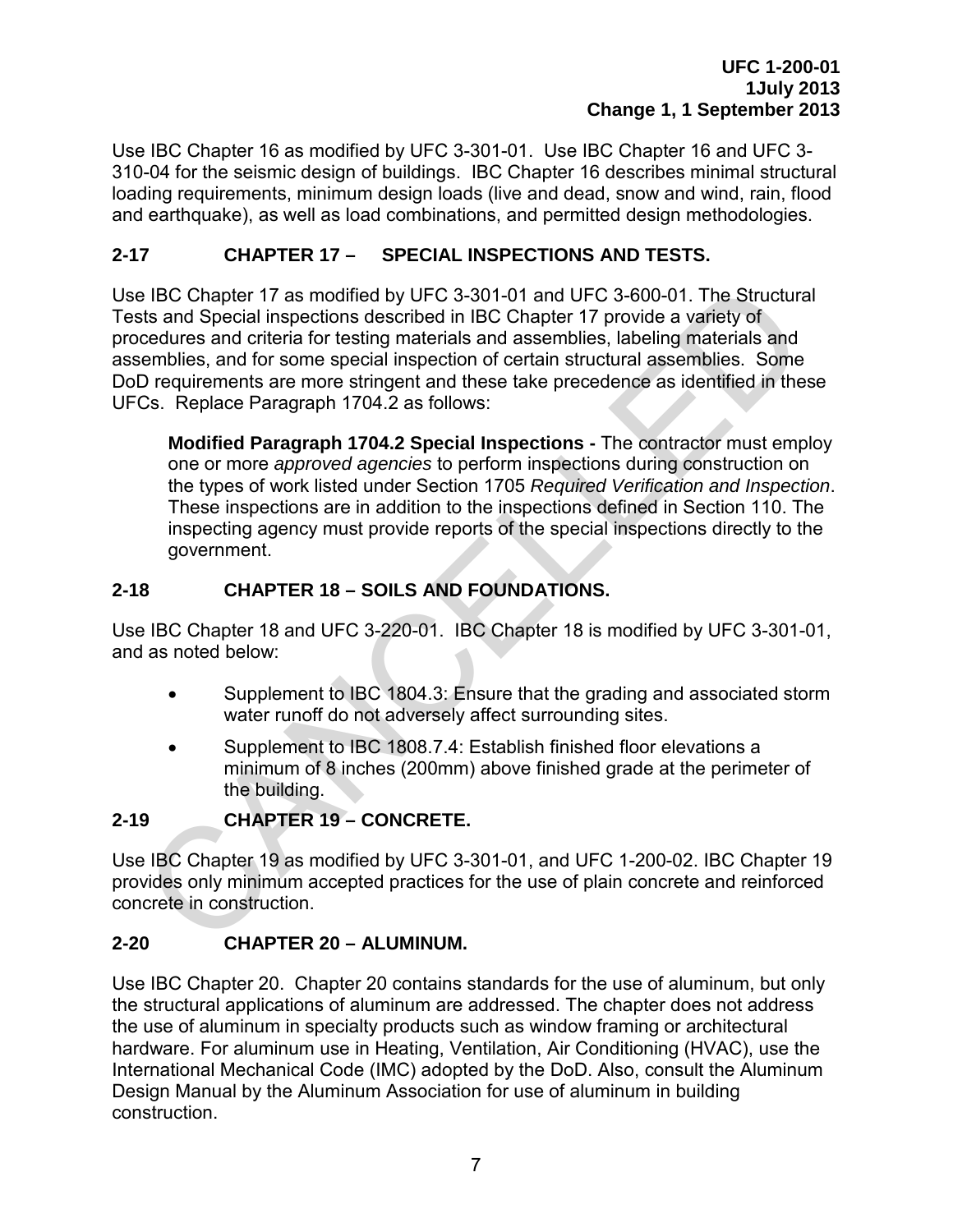Use IBC Chapter 16 as modified by UFC 3-301-01. Use IBC Chapter 16 and UFC 3- 310-04 for the seismic design of buildings. IBC Chapter 16 describes minimal structural loading requirements, minimum design loads (live and dead, snow and wind, rain, flood and earthquake), as well as load combinations, and permitted design methodologies.

## <span id="page-14-0"></span>**2-17 CHAPTER 17 – SPECIAL INSPECTIONS AND TESTS.**

Use IBC Chapter 17 as modified by UFC 3-301-01 and UFC 3-600-01. The Structural Tests and Special inspections described in IBC Chapter 17 provide a variety of procedures and criteria for testing materials and assemblies, labeling materials and assemblies, and for some special inspection of certain structural assemblies. Some DoD requirements are more stringent and these take precedence as identified in these UFCs. Replace Paragraph 1704.2 as follows: 9 IBC Chapter 17 as modified by UFC 3-301-01 and UFC 3-600-01. The Structurat<br>
and Special inspections described in IBC Chapter 17 provide a variety of<br>
educines, and criteria for testing materials and assemblies, labelin

**Modified Paragraph 1704.2 Special Inspections -** The contractor must employ one or more *approved agencies* to perform inspections during construction on the types of work listed under Section 1705 *Required Verification and Inspection*. These inspections are in addition to the inspections defined in Section 110. The inspecting agency must provide reports of the special inspections directly to the government.

## <span id="page-14-1"></span>**2-18 CHAPTER 18 – SOILS AND FOUNDATIONS.**

Use IBC Chapter 18 and UFC 3-220-01. IBC Chapter 18 is modified by UFC 3-301-01, and as noted below:

- Supplement to IBC 1804.3: Ensure that the grading and associated storm water runoff do not adversely affect surrounding sites.
- Supplement to IBC 1808.7.4: Establish finished floor elevations a minimum of 8 inches (200mm) above finished grade at the perimeter of the building.

## <span id="page-14-2"></span>**2-19 CHAPTER 19 – CONCRETE.**

Use IBC Chapter 19 as modified by UFC 3-301-01, and UFC 1-200-02. IBC Chapter 19 provides only minimum accepted practices for the use of plain concrete and reinforced concrete in construction.

## <span id="page-14-3"></span>**2-20 CHAPTER 20 – ALUMINUM.**

Use IBC Chapter 20. Chapter 20 contains standards for the use of aluminum, but only the structural applications of aluminum are addressed. The chapter does not address the use of aluminum in specialty products such as window framing or architectural hardware. For aluminum use in Heating, Ventilation, Air Conditioning (HVAC), use the International Mechanical Code (IMC) adopted by the DoD. Also, consult the Aluminum Design Manual by the Aluminum Association for use of aluminum in building construction.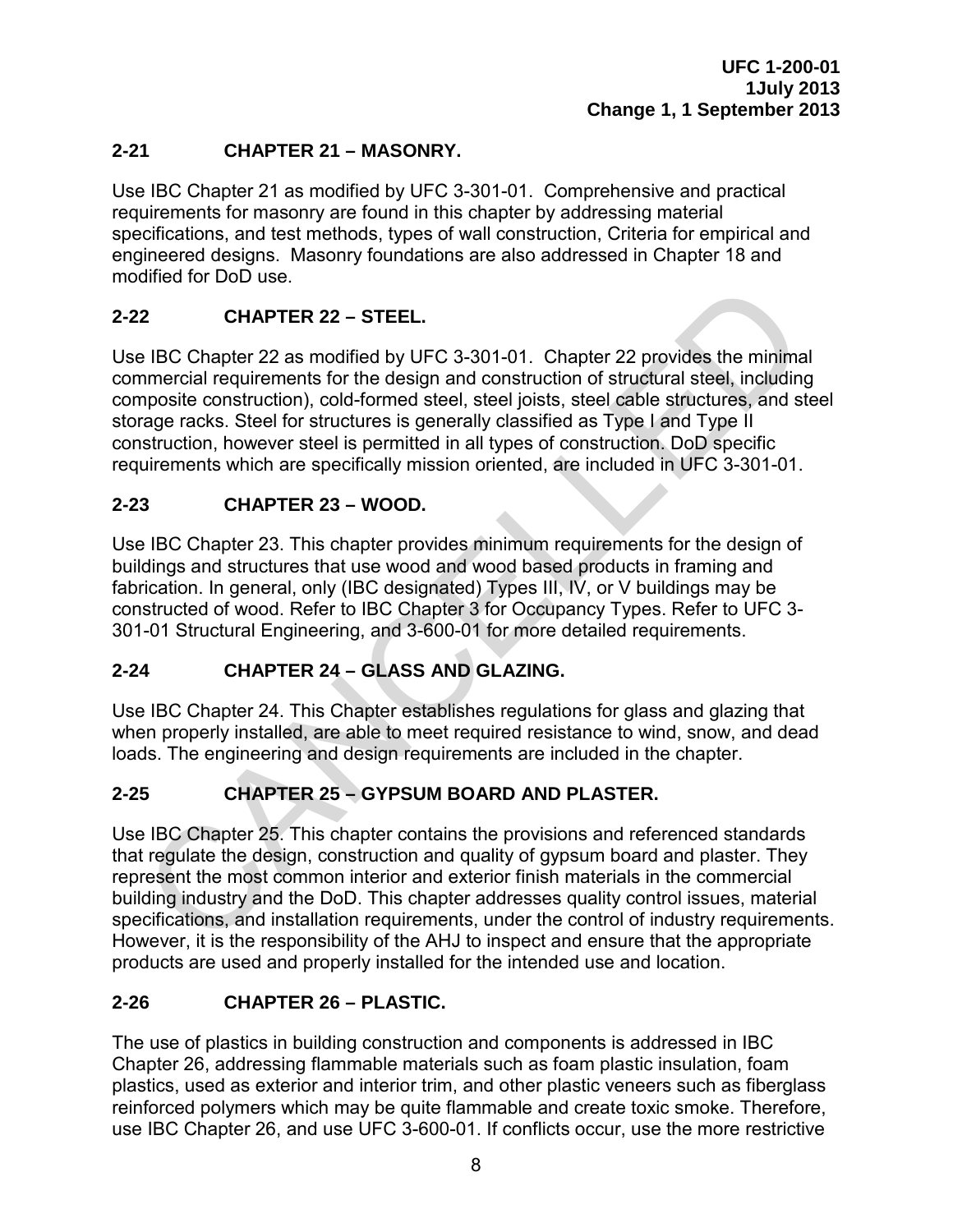## <span id="page-15-0"></span>**2-21 CHAPTER 21 – MASONRY.**

Use IBC Chapter 21 as modified by UFC 3-301-01. Comprehensive and practical requirements for masonry are found in this chapter by addressing material specifications, and test methods, types of wall construction, Criteria for empirical and engineered designs. Masonry foundations are also addressed in Chapter 18 and modified for DoD use.

## <span id="page-15-1"></span>**2-22 CHAPTER 22 – STEEL.**

Use IBC Chapter 22 as modified by UFC 3-301-01. Chapter 22 provides the minimal commercial requirements for the design and construction of structural steel, including composite construction), cold-formed steel, steel joists, steel cable structures, and steel storage racks. Steel for structures is generally classified as Type I and Type II construction, however steel is permitted in all types of construction. DoD specific requirements which are specifically mission oriented, are included in UFC 3-301-01. 2<br>
2<br>
2<br>
CHAPTER 22 – STEEL.<br>
EIEC Chapter 22 as modified by UFC 3-301-01. Chapter 22 provides the minima<br>
Inmercial requirements for the design and construction of structural steel, including<br>
Imposite construction), cold

## <span id="page-15-2"></span>**2-23 CHAPTER 23 – WOOD.**

Use IBC Chapter 23. This chapter provides minimum requirements for the design of buildings and structures that use wood and wood based products in framing and fabrication. In general, only (IBC designated) Types III, IV, or V buildings may be constructed of wood. Refer to IBC Chapter 3 for Occupancy Types. Refer to UFC 3- 301-01 Structural Engineering, and 3-600-01 for more detailed requirements.

## <span id="page-15-3"></span>**2-24 CHAPTER 24 – GLASS AND GLAZING.**

Use IBC Chapter 24. This Chapter establishes regulations for glass and glazing that when properly installed, are able to meet required resistance to wind, snow, and dead loads. The engineering and design requirements are included in the chapter.

## <span id="page-15-4"></span>**2-25 CHAPTER 25 – GYPSUM BOARD AND PLASTER.**

Use IBC Chapter 25. This chapter contains the provisions and referenced standards that regulate the design, construction and quality of gypsum board and plaster. They represent the most common interior and exterior finish materials in the commercial building industry and the DoD. This chapter addresses quality control issues, material specifications, and installation requirements, under the control of industry requirements. However, it is the responsibility of the AHJ to inspect and ensure that the appropriate products are used and properly installed for the intended use and location.

## <span id="page-15-5"></span>**2-26 CHAPTER 26 – PLASTIC.**

The use of plastics in building construction and components is addressed in IBC Chapter 26, addressing flammable materials such as foam plastic insulation, foam plastics, used as exterior and interior trim, and other plastic veneers such as fiberglass reinforced polymers which may be quite flammable and create toxic smoke. Therefore, use IBC Chapter 26, and use UFC 3-600-01. If conflicts occur, use the more restrictive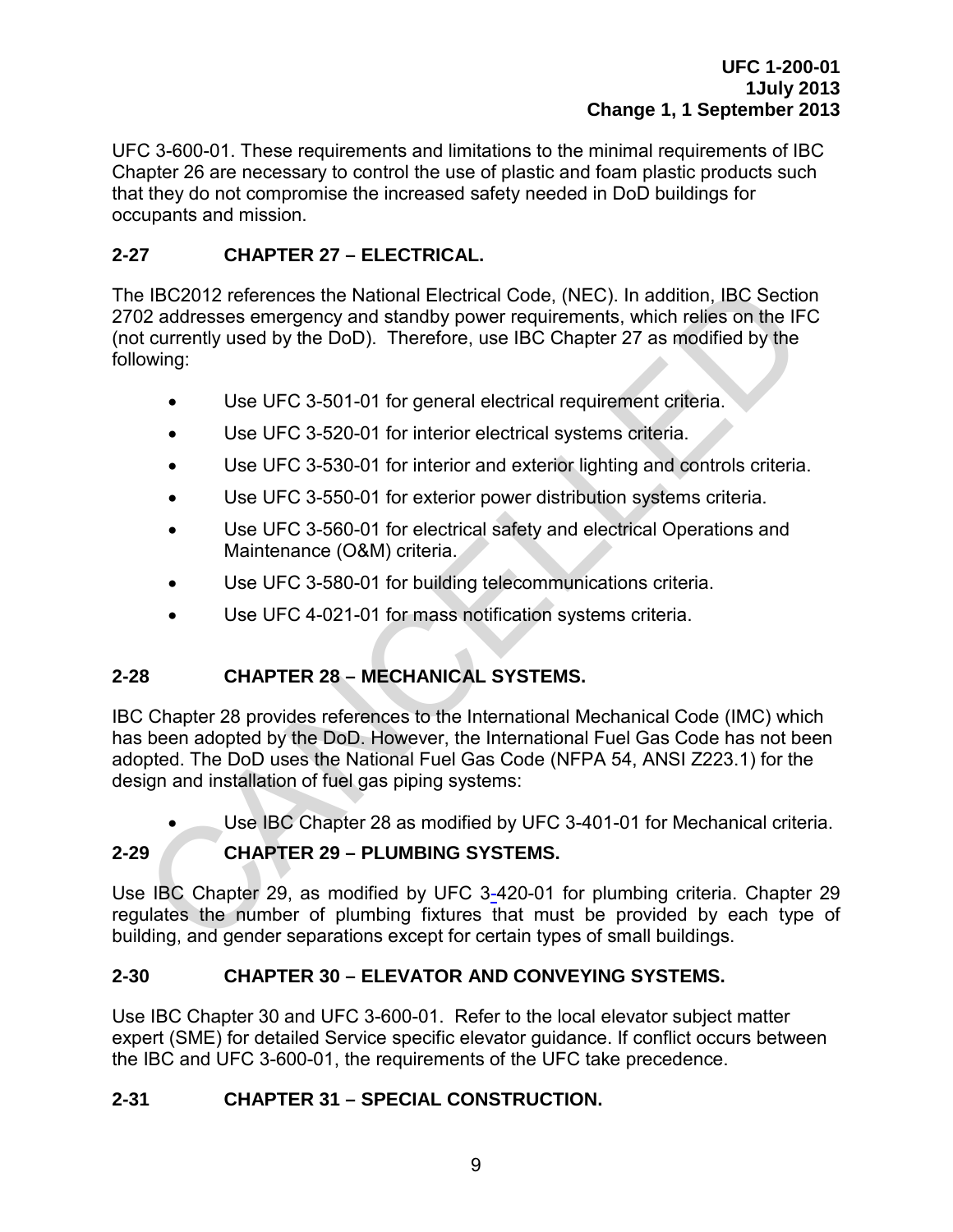UFC 3-600-01. These requirements and limitations to the minimal requirements of IBC Chapter 26 are necessary to control the use of plastic and foam plastic products such that they do not compromise the increased safety needed in DoD buildings for occupants and mission.

## <span id="page-16-0"></span>**2-27 CHAPTER 27 – ELECTRICAL.**

The IBC2012 references the National Electrical Code, (NEC). In addition, IBC Section 2702 addresses emergency and standby power requirements, which relies on the IFC (not currently used by the DoD). Therefore, use IBC Chapter 27 as modified by the following:

- Use UFC 3-501-01 for general electrical requirement criteria.
- Use UFC 3-520-01 for interior electrical systems criteria.
- Use UFC 3-530-01 for interior and exterior lighting and controls criteria.
- Use UFC 3-550-01 for exterior power distribution systems criteria.
- Use UFC 3-560-01 for electrical safety and electrical Operations and Maintenance (O&M) criteria.
- Use UFC 3-580-01 for building telecommunications criteria.
- Use UFC 4-021-01 for mass notification systems criteria.

## <span id="page-16-1"></span>**2-28 CHAPTER 28 – MECHANICAL SYSTEMS.**

IBC Chapter 28 provides references to the International Mechanical Code (IMC) which has been adopted by the DoD. However, the International Fuel Gas Code has not been adopted. The DoD uses the National Fuel Gas Code (NFPA 54, ANSI Z223.1) for the design and installation of fuel gas piping systems: Lacences the National Electrical Code, (NEC). In addition, IBC Section<br>2 addresses emergency and standby power requirements, which relies on the IF<br>2 cadresses emergency and standby power requirement criteria.<br>
Customery

Use IBC Chapter 28 as modified by UFC 3-401-01 for Mechanical criteria.

## <span id="page-16-2"></span>**2-29 CHAPTER 29 – PLUMBING SYSTEMS.**

Use IBC Chapter 29, as modified by UFC 3-420-01 for plumbing criteria. Chapter 29 regulates the number of plumbing fixtures that must be provided by each type of building, and gender separations except for certain types of small buildings.

## <span id="page-16-3"></span>**2-30 CHAPTER 30 – ELEVATOR AND CONVEYING SYSTEMS.**

Use IBC Chapter 30 and UFC 3-600-01. Refer to the local elevator subject matter expert (SME) for detailed Service specific elevator guidance. If conflict occurs between the IBC and UFC 3-600-01, the requirements of the UFC take precedence.

## <span id="page-16-4"></span>**2-31 CHAPTER 31 – SPECIAL CONSTRUCTION.**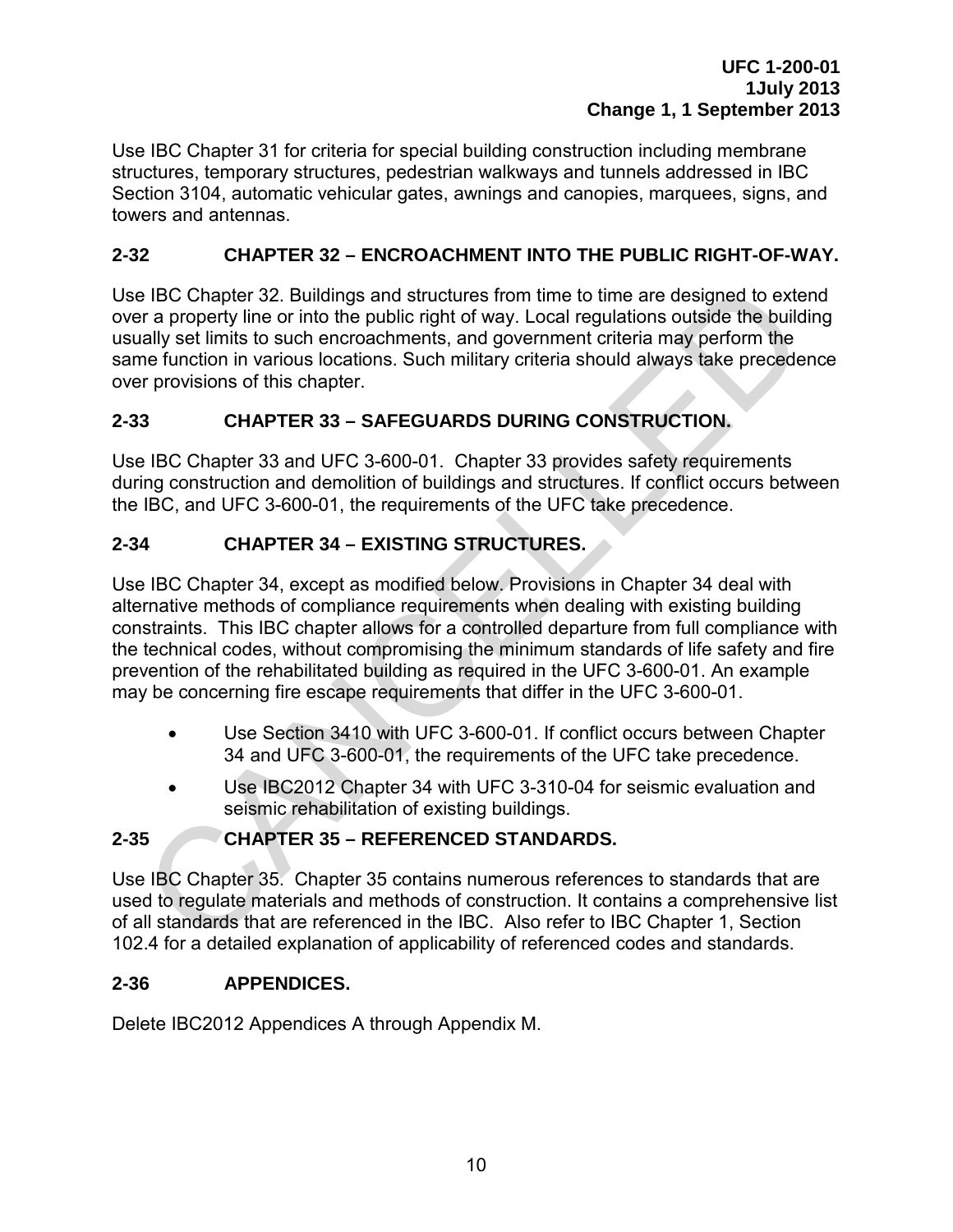Use IBC Chapter 31 for criteria for special building construction including membrane structures, temporary structures, pedestrian walkways and tunnels addressed in IBC Section 3104, automatic vehicular gates, awnings and canopies, marquees, signs, and towers and antennas.

## <span id="page-17-0"></span>**2-32 CHAPTER 32 – ENCROACHMENT INTO THE PUBLIC RIGHT-OF-WAY.**

Use IBC Chapter 32. Buildings and structures from time to time are designed to extend over a property line or into the public right of way. Local regulations outside the building usually set limits to such encroachments, and government criteria may perform the same function in various locations. Such military criteria should always take precedence over provisions of this chapter.

## <span id="page-17-1"></span>**2-33 CHAPTER 33 – SAFEGUARDS DURING CONSTRUCTION.**

Use IBC Chapter 33 and UFC 3-600-01. Chapter 33 provides safety requirements during construction and demolition of buildings and structures. If conflict occurs between the IBC, and UFC 3-600-01, the requirements of the UFC take precedence.

## <span id="page-17-2"></span>**2-34 CHAPTER 34 – EXISTING STRUCTURES.**

Use IBC Chapter 34, except as modified below. Provisions in Chapter 34 deal with alternative methods of compliance requirements when dealing with existing building constraints. This IBC chapter allows for a controlled departure from full compliance with the technical codes, without compromising the minimum standards of life safety and fire prevention of the rehabilitated building as required in the UFC 3-600-01. An example may be concerning fire escape requirements that differ in the UFC 3-600-01. e IBC Chapter 32. Buildings and structures from time to time are designed to exter a property line or into the public right of way. Local regulations outside the building tell limits to such enconchments, and government cr

- Use Section 3410 with UFC 3-600-01. If conflict occurs between Chapter 34 and UFC 3-600-01, the requirements of the UFC take precedence.
- Use IBC2012 Chapter 34 with UFC 3-310-04 for seismic evaluation and seismic rehabilitation of existing buildings.

## <span id="page-17-3"></span>**2-35 CHAPTER 35 – REFERENCED STANDARDS.**

Use IBC Chapter 35. Chapter 35 contains numerous references to standards that are used to regulate materials and methods of construction. It contains a comprehensive list of all standards that are referenced in the IBC. Also refer to IBC Chapter 1, Section 102.4 for a detailed explanation of applicability of referenced codes and standards.

## <span id="page-17-4"></span>**2-36 APPENDICES.**

Delete IBC2012 Appendices A through Appendix M.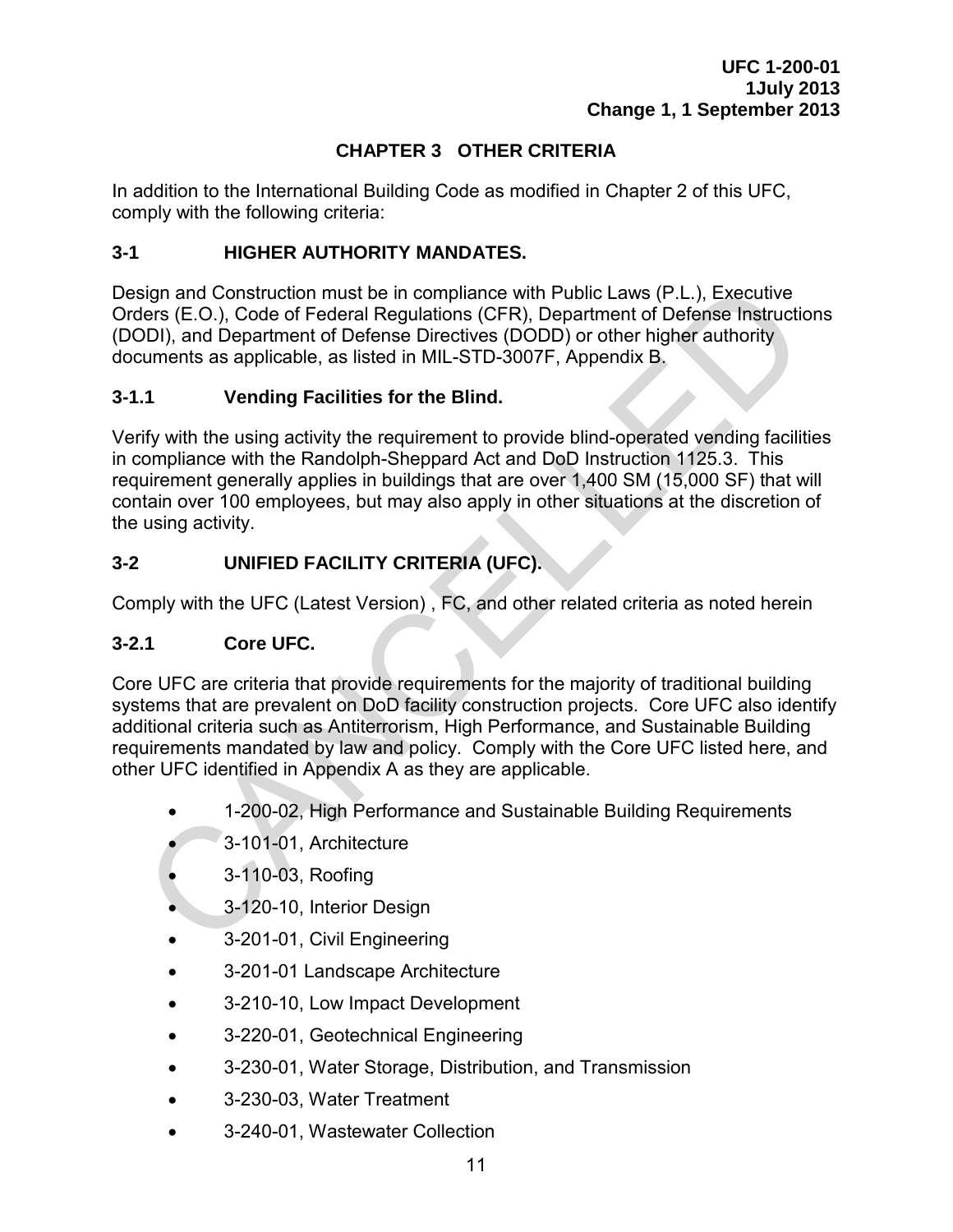## <span id="page-18-0"></span>**CHAPTER 3 OTHER CRITERIA**

In addition to the International Building Code as modified in Chapter 2 of this UFC, comply with the following criteria:

## <span id="page-18-1"></span>**3-1 HIGHER AUTHORITY MANDATES.**

Design and Construction must be in compliance with Public Laws (P.L.), Executive Orders (E.O.), Code of Federal Regulations (CFR), Department of Defense Instructions (DODI), and Department of Defense Directives (DODD) or other higher authority documents as applicable, as listed in MIL-STD-3007F, Appendix B.

## <span id="page-18-2"></span>**3-1.1 Vending Facilities for the Blind.**

Verify with the using activity the requirement to provide blind-operated vending facilities in compliance with the Randolph-Sheppard Act and DoD Instruction 1125.3. This requirement generally applies in buildings that are over 1,400 SM (15,000 SF) that will contain over 100 employees, but may also apply in other situations at the discretion of the using activity. isign and Construction must be in compliance with Public Laws (P.L.), Executive<br>
elers (E.D.), Code of Federal Regulations (GFR), Department of Defense Instruction<br>
DDI), and Department of Defense Directives (DODD) or othe

## <span id="page-18-3"></span>**3-2 UNIFIED FACILITY CRITERIA (UFC).**

Comply with the UFC (Latest Version) , FC, and other related criteria as noted herein

## <span id="page-18-4"></span>**3-2.1 Core UFC.**

Core UFC are criteria that provide requirements for the majority of traditional building systems that are prevalent on DoD facility construction projects. Core UFC also identify additional criteria such as Antiterrorism, High Performance, and Sustainable Building requirements mandated by law and policy. Comply with the Core UFC listed here, and other UFC identified in Appendix A as they are applicable.

- 1-200-02, High Performance and Sustainable Building Requirements
- 3-101-01, Architecture
- 3-110-03, Roofing
- 3-120-10, Interior Design
- 3-201-01, Civil Engineering
- 3-201-01 Landscape Architecture
- 3-210-10, Low Impact Development
- 3-220-01, Geotechnical Engineering
- 3-230-01, Water Storage, Distribution, and Transmission
- 3-230-03, Water Treatment
- 3-240-01, Wastewater Collection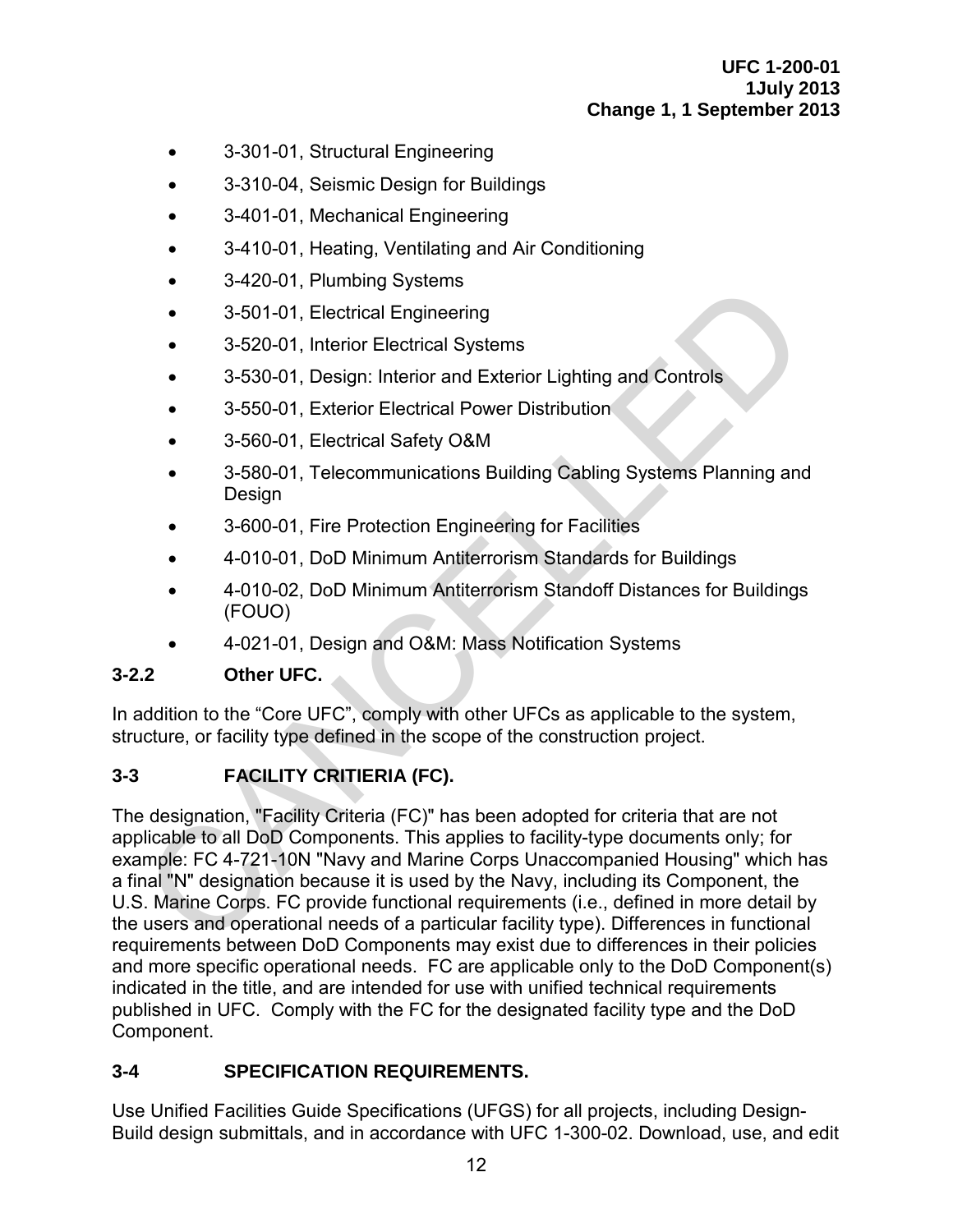- 3-301-01, Structural Engineering
- 3-310-04, Seismic Design for Buildings
- 3-401-01, Mechanical Engineering
- 3-410-01, Heating, Ventilating and Air Conditioning
- 3-420-01, Plumbing Systems
- 3-501-01, Electrical Engineering
- 3-520-01, Interior Electrical Systems
- 3-530-01, Design: Interior and Exterior Lighting and Controls
- 3-550-01, Exterior Electrical Power Distribution
- 3-560-01, Electrical Safety O&M
- 3-580-01, Telecommunications Building Cabling Systems Planning and Design
- 3-600-01, Fire Protection Engineering for Facilities
- 4-010-01, DoD Minimum Antiterrorism Standards for Buildings
- 4-010-02, DoD Minimum Antiterrorism Standoff Distances for Buildings (FOUO)
- 4-021-01, Design and O&M: Mass Notification Systems

## <span id="page-19-0"></span>**3-2.2 Other UFC.**

In addition to the "Core UFC", comply with other UFCs as applicable to the system, structure, or facility type defined in the scope of the construction project.

## <span id="page-19-1"></span>**3-3 FACILITY CRITIERIA (FC).**

The designation, "Facility Criteria (FC)" has been adopted for criteria that are not applicable to all DoD Components. This applies to facility-type documents only; for example: FC 4-721-10N "Navy and Marine Corps Unaccompanied Housing" which has a final "N" designation because it is used by the Navy, including its Component, the U.S. Marine Corps. FC provide functional requirements (i.e., defined in more detail by the users and operational needs of a particular facility type). Differences in functional requirements between DoD Components may exist due to differences in their policies and more specific operational needs. FC are applicable only to the DoD Component(s) indicated in the title, and are intended for use with unified technical requirements published in UFC. Comply with the FC for the designated facility type and the DoD Component. 3-501-01, Flectrical Engineering<br>
3-501-01, Electrical Engineering<br>
3-501-01, Electrical Engineering<br>
3-501-01, Electrical Systems<br>
3-530-01, Exterior Electrical Power Distribution<br>
3-560-01, Exterior Electrical Power Dist

## <span id="page-19-2"></span>**3-4 SPECIFICATION REQUIREMENTS.**

Use Unified Facilities Guide Specifications (UFGS) for all projects, including Design-Build design submittals, and in accordance with UFC 1-300-02. Download, use, and edit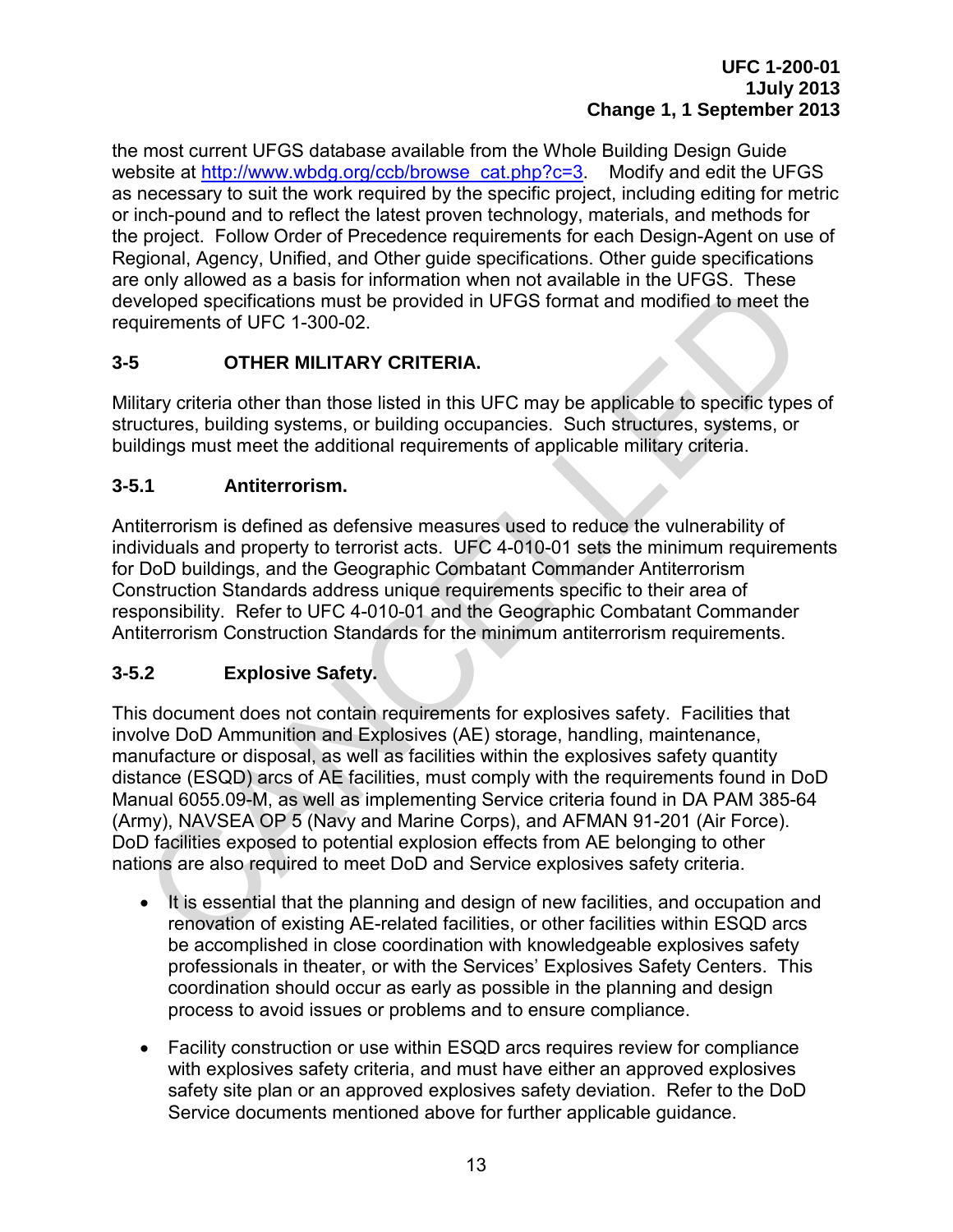the most current UFGS database available from the Whole Building Design Guide website at [http://www.wbdg.org/ccb/browse\\_cat.php?c=3.](http://www.wbdg.org/ccb/browse_cat.php?c=3) Modify and edit the UFGS as necessary to suit the work required by the specific project, including editing for metric or inch-pound and to reflect the latest proven technology, materials, and methods for the project. Follow Order of Precedence requirements for each Design-Agent on use of Regional, Agency, Unified, and Other guide specifications. Other guide specifications are only allowed as a basis for information when not available in the UFGS. These developed specifications must be provided in UFGS format and modified to meet the requirements of UFC 1-300-02.

## <span id="page-20-0"></span>**3-5 OTHER MILITARY CRITERIA.**

Military criteria other than those listed in this UFC may be applicable to specific types of structures, building systems, or building occupancies. Such structures, systems, or buildings must meet the additional requirements of applicable military criteria.

## <span id="page-20-1"></span>**3-5.1 Antiterrorism.**

Antiterrorism is defined as defensive measures used to reduce the vulnerability of individuals and property to terrorist acts. UFC 4-010-01 sets the minimum requirements for DoD buildings, and the Geographic Combatant Commander Antiterrorism Construction Standards address unique requirements specific to their area of responsibility. Refer to UFC 4-010-01 and the Geographic Combatant Commander Antiterrorism Construction Standards for the minimum antiterrorism requirements.

## <span id="page-20-2"></span>**3-5.2 Explosive Safety.**

This document does not contain requirements for explosives safety. Facilities that involve DoD Ammunition and Explosives (AE) storage, handling, maintenance, manufacture or disposal, as well as facilities within the explosives safety quantity distance (ESQD) arcs of AE facilities, must comply with the requirements found in DoD Manual 6055.09-M, as well as implementing Service criteria found in DA PAM 385-64 (Army), NAVSEA OP 5 (Navy and Marine Corps), and AFMAN 91-201 (Air Force). DoD facilities exposed to potential explosion effects from AE belonging to other nations are also required to meet DoD and Service explosives safety criteria. or and the product of a based on an anti-mode. The method of the product of the product of the product of UFCS format and modified to meet the unrements of UFC 1-300-02.<br> **CTHER MILITARY CRITERIA.**<br>
Internetting other than

- It is essential that the planning and design of new facilities, and occupation and renovation of existing AE-related facilities, or other facilities within ESQD arcs be accomplished in close coordination with knowledgeable explosives safety professionals in theater, or with the Services' Explosives Safety Centers. This coordination should occur as early as possible in the planning and design process to avoid issues or problems and to ensure compliance.
- Facility construction or use within ESQD arcs requires review for compliance with explosives safety criteria, and must have either an approved explosives safety site plan or an approved explosives safety deviation. Refer to the DoD Service documents mentioned above for further applicable guidance.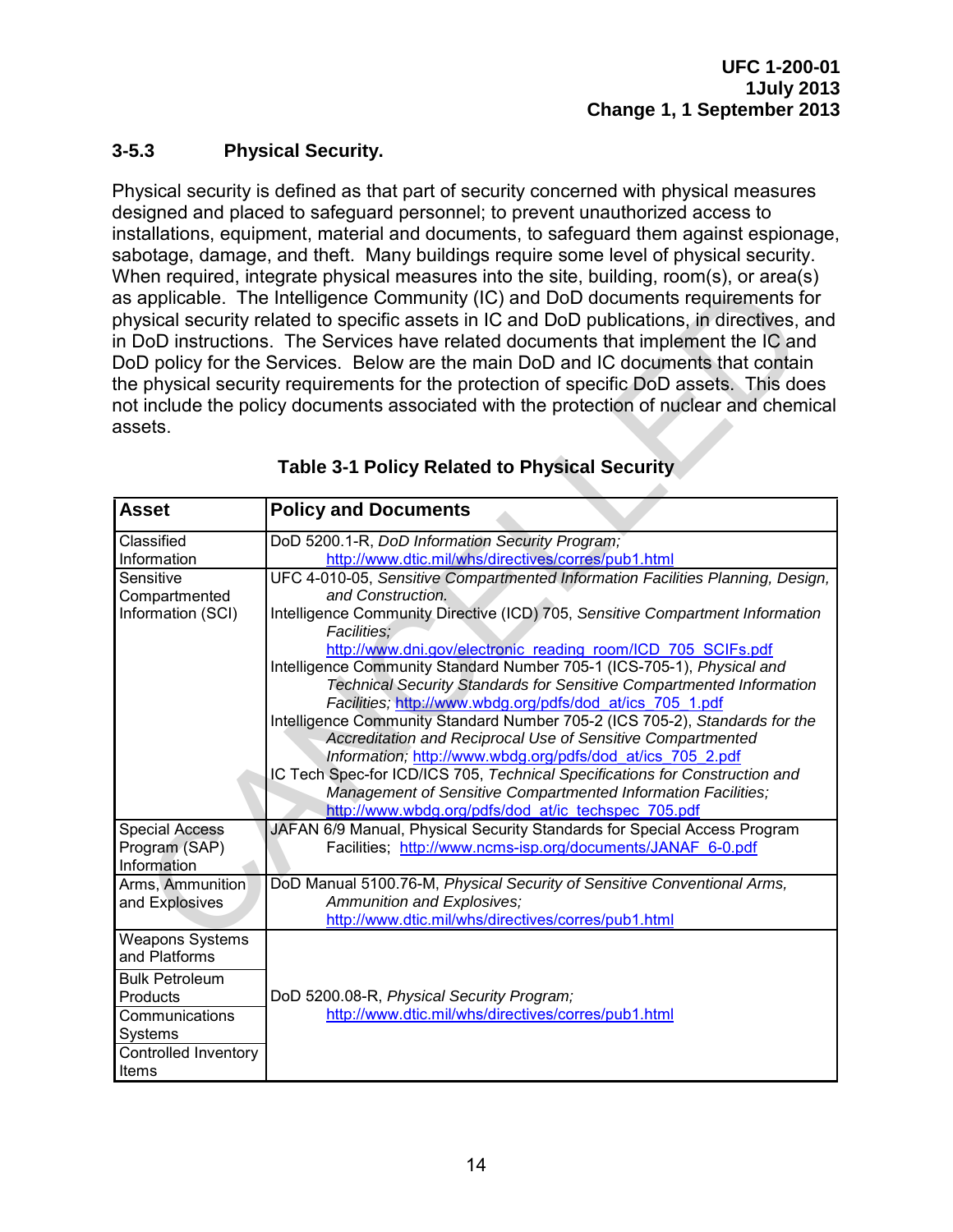## <span id="page-21-0"></span>**3-5.3 Physical Security.**

Physical security is defined as that part of security concerned with physical measures designed and placed to safeguard personnel; to prevent unauthorized access to installations, equipment, material and documents, to safeguard them against espionage, sabotage, damage, and theft. Many buildings require some level of physical security. When required, integrate physical measures into the site, building, room(s), or area(s) as applicable. The Intelligence Community (IC) and DoD documents requirements for physical security related to specific assets in IC and DoD publications, in directives, and in DoD instructions. The Services have related documents that implement the IC and DoD policy for the Services. Below are the main DoD and IC documents that contain the physical security requirements for the protection of specific DoD assets. This does not include the policy documents associated with the protection of nuclear and chemical assets.

| assets.                                                                                                                                    | as applicable. The Intelligence Community (IC) and DoD documents requirements for<br>physical security related to specific assets in IC and DoD publications, in directives, and<br>in DoD instructions. The Services have related documents that implement the IC and<br>DoD policy for the Services. Below are the main DoD and IC documents that contain<br>the physical security requirements for the protection of specific DoD assets. This does<br>not include the policy documents associated with the protection of nuclear and chemical                                                                                                                                                                                                                                                                                                                                                     |
|--------------------------------------------------------------------------------------------------------------------------------------------|-------------------------------------------------------------------------------------------------------------------------------------------------------------------------------------------------------------------------------------------------------------------------------------------------------------------------------------------------------------------------------------------------------------------------------------------------------------------------------------------------------------------------------------------------------------------------------------------------------------------------------------------------------------------------------------------------------------------------------------------------------------------------------------------------------------------------------------------------------------------------------------------------------|
|                                                                                                                                            | Table 3-1 Policy Related to Physical Security                                                                                                                                                                                                                                                                                                                                                                                                                                                                                                                                                                                                                                                                                                                                                                                                                                                         |
| <b>Asset</b>                                                                                                                               | <b>Policy and Documents</b>                                                                                                                                                                                                                                                                                                                                                                                                                                                                                                                                                                                                                                                                                                                                                                                                                                                                           |
| Classified<br>Information                                                                                                                  | DoD 5200.1-R, DoD Information Security Program;<br>http://www.dtic.mil/whs/directives/corres/pub1.html                                                                                                                                                                                                                                                                                                                                                                                                                                                                                                                                                                                                                                                                                                                                                                                                |
| Sensitive<br>Compartmented<br>Information (SCI)                                                                                            | UFC 4-010-05, Sensitive Compartmented Information Facilities Planning, Design,<br>and Construction.<br>Intelligence Community Directive (ICD) 705, Sensitive Compartment Information<br>Facilities;<br>http://www.dni.gov/electronic reading room/ICD 705 SCIFs.pdf<br>Intelligence Community Standard Number 705-1 (ICS-705-1), Physical and<br>Technical Security Standards for Sensitive Compartmented Information<br>Facilities; http://www.wbdg.org/pdfs/dod_at/ics_705_1.pdf<br>Intelligence Community Standard Number 705-2 (ICS 705-2), Standards for the<br>Accreditation and Reciprocal Use of Sensitive Compartmented<br>Information; http://www.wbdg.org/pdfs/dod at/ics 705 2.pdf<br>IC Tech Spec-for ICD/ICS 705, Technical Specifications for Construction and<br>Management of Sensitive Compartmented Information Facilities;<br>http://www.wbdg.org/pdfs/dod at/ic techspec 705.pdf |
| <b>Special Access</b><br>Program (SAP)<br>Information                                                                                      | JAFAN 6/9 Manual, Physical Security Standards for Special Access Program<br>Facilities; http://www.ncms-isp.org/documents/JANAF 6-0.pdf                                                                                                                                                                                                                                                                                                                                                                                                                                                                                                                                                                                                                                                                                                                                                               |
| Arms, Ammunition<br>and Explosives                                                                                                         | DoD Manual 5100.76-M, Physical Security of Sensitive Conventional Arms,<br>Ammunition and Explosives;<br>http://www.dtic.mil/whs/directives/corres/pub1.html                                                                                                                                                                                                                                                                                                                                                                                                                                                                                                                                                                                                                                                                                                                                          |
| <b>Weapons Systems</b><br>and Platforms<br><b>Bulk Petroleum</b><br>Products<br>Communications<br>Systems<br>Controlled Inventory<br>Items | DoD 5200.08-R, Physical Security Program;<br>http://www.dtic.mil/whs/directives/corres/pub1.html                                                                                                                                                                                                                                                                                                                                                                                                                                                                                                                                                                                                                                                                                                                                                                                                      |

## **Table 3-1 Policy Related to Physical Security**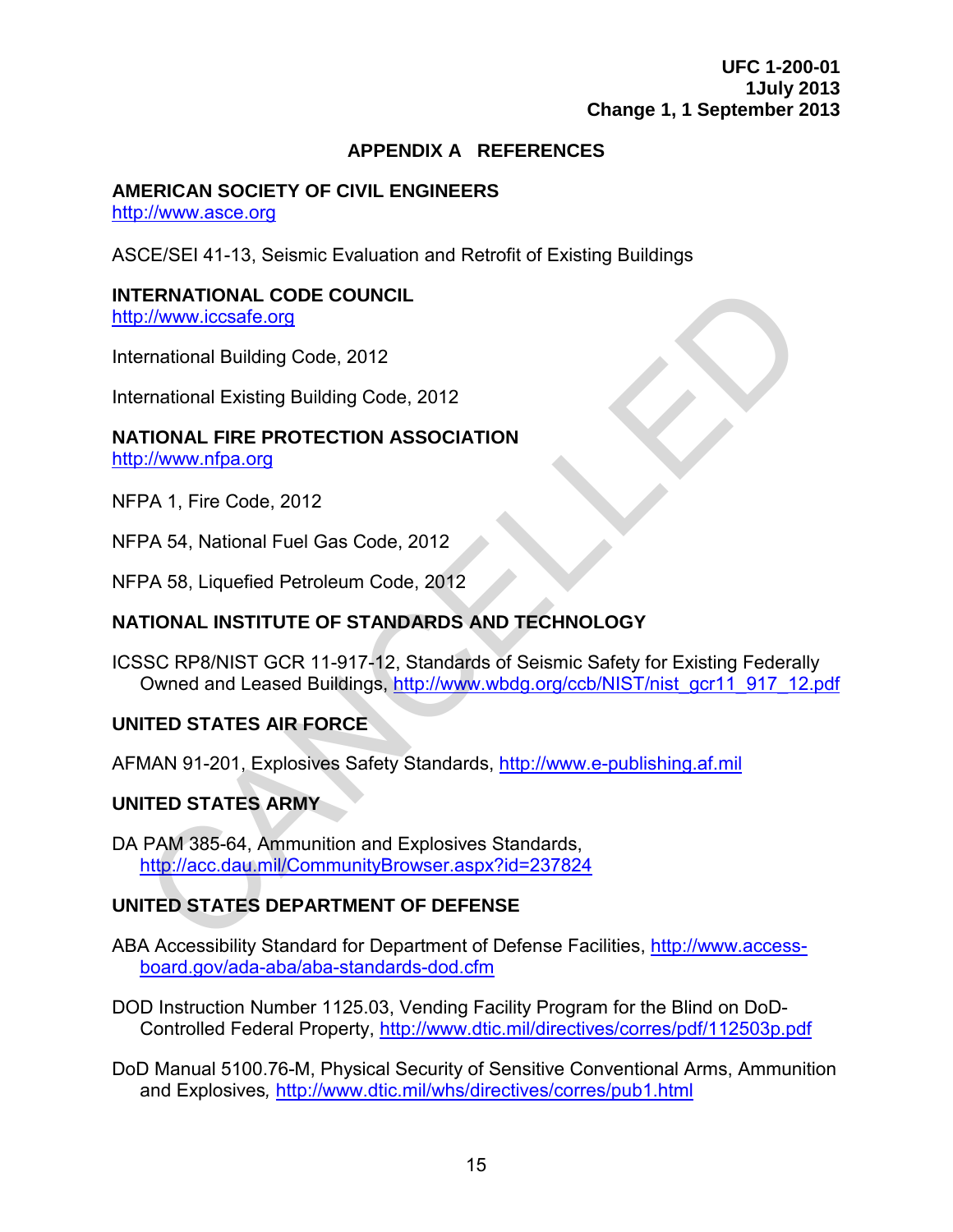#### <span id="page-22-0"></span>**APPENDIX A REFERENCES**

#### **AMERICAN SOCIETY OF CIVIL ENGINEERS**

[http://www.asce.org](http://www.asce.org/)

ASCE/SEI 41-13, Seismic Evaluation and Retrofit of Existing Buildings

#### **INTERNATIONAL CODE COUNCIL**

http://www.iccsafe.org

International Building Code, 2012

International Existing Building Code, 2012

## **NATIONAL FIRE PROTECTION ASSOCIATION**

[http://www.nfpa.org](http://www.nfpa.org/)

NFPA 1, Fire Code, 2012

NFPA 54, National Fuel Gas Code, 2012

NFPA 58, Liquefied Petroleum Code, 2012

## **NATIONAL INSTITUTE OF STANDARDS AND TECHNOLOGY**

ICSSC RP8/NIST GCR 11-917-12, Standards of Seismic Safety for Existing Federally Owned and Leased Buildings, http://www.wbdg.org/ccb/NIST/nist\_gcr11\_917\_12.pdf ERNATIONAL CODE COU[NC](http://www.wbdg.org/ccb/NIST/nist_gcr11_917_12.pdf)IL<br>
Continues and Existing Building Code, 2012<br>
TroNAL FIRE PROTECTION ASSOCIATION<br>
Communicational Existing Building Code, 2012<br>
PA 1, Fire Code, 2012<br>
PA 54, National Fuel Gas Code, 2012<br>
PA 54, Nati

#### **UNITED STATES AIR FORCE**

AFMAN 91-201, Explosives Safety Standards, http://www.e-publishing.af.mil

#### **UNITED STATES ARMY**

DA PAM 385-64, Ammunition and Explosives Standards, http://acc.dau.mil/CommunityBrowser.aspx?id=237824

#### **UNITED STATES DEPARTMENT OF DEFENSE**

- ABA Accessibility Standard for Department of Defense Facilities, [http://www.access](http://www.access-board.gov/ada-aba/aba-standards-dod.cfm)[board.gov/ada-aba/aba-standards-dod.cfm](http://www.access-board.gov/ada-aba/aba-standards-dod.cfm)
- DOD Instruction Number 1125.03, Vending Facility Program for the Blind on DoD-Controlled Federal Property, <http://www.dtic.mil/directives/corres/pdf/112503p.pdf>
- DoD Manual 5100.76-M, Physical Security of Sensitive Conventional Arms, Ammunition and Explosives*,* <http://www.dtic.mil/whs/directives/corres/pub1.html>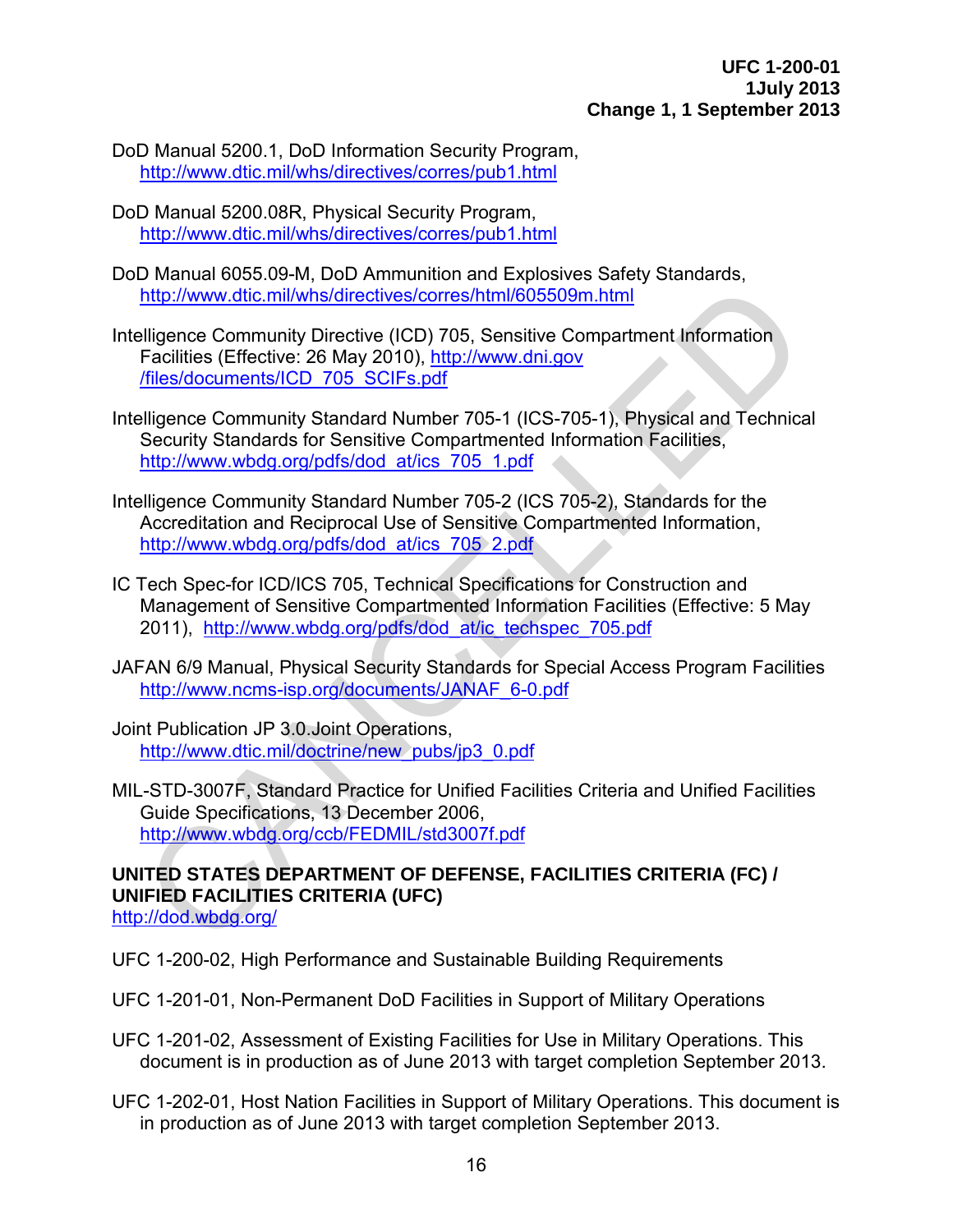- DoD Manual 5200.1, DoD Information Security Program, <http://www.dtic.mil/whs/directives/corres/pub1.html>
- DoD Manual 5200.08R, Physical Security Program, <http://www.dtic.mil/whs/directives/corres/pub1.html>
- DoD Manual 6055.09-M, DoD Ammunition and Explosives Safety Standards, http://www.dtic.mil/whs/directives/corres/html/605509m.html
- Intelligence Community Directive (ICD) 705, Sensitive Compartment Information Facilities (Effective: 26 May 2010), http://www.dni.gov /files/documents/ICD\_705\_SCIFs.pdf
- Intelligence Community Standard Number 705-1 (ICS-705-1), Physical and Technical Security Standards for Sensitive Compartmented Information Facilities, http://www.wbdg.org/pdfs/dod\_at/ics\_705\_1.pdf http://www.dtic.mil/whs/directives/corres/html/605509m.html<br>
elligence [C](http://www.wbdg.org/ccb/FEDMIL/std3007f.pdf)ommunity Directive (ICD) 705, Sensitive Compartment Information<br>
Facilitities ([E](http://www.wbdg.org/pdfs/dod_at/ic_techspec_705.pdf)ffective: 26 May 2010), http://www.dnl.gov<br>
difference Community Stand
- Intelligence Community Standard Number 705-2 (ICS 705-2), Standards for the Accreditation and Reciprocal Use of Sensitive Compartmented Information, http://www.wbdg.org/pdfs/dod\_at/ics\_705\_2.pdf
- IC Tech Spec-for ICD/ICS 705, Technical Specifications for Construction and Management of Sensitive Compartmented Information Facilities (Effective: 5 May 2011), http://www.wbdg.org/pdfs/dod\_at/ic\_techspec\_705.pdf
- JAFAN 6/9 Manual, Physical Security Standards for Special Access Program Facilities http://www.ncms-isp.org/documents/JANAF\_6-0.pdf
- Joint Publication JP 3.0.Joint Operations, http://www.dtic.mil/doctrine/new\_pubs/jp3\_0.pdf
- MIL-STD-3007F, Standard Practice for Unified Facilities Criteria and Unified Facilities Guide Specifications, 13 December 2006, http://www.wbdg.org/ccb/FEDMIL/std3007f.pdf

**UNITED STATES DEPARTMENT OF DEFENSE, FACILITIES CRITERIA (FC) / UNIFIED FACILITIES CRITERIA (UFC)** <http://dod.wbdg.org/>

- UFC 1-200-02, High Performance and Sustainable Building Requirements
- UFC 1-201-01, Non-Permanent DoD Facilities in Support of Military Operations
- UFC 1-201-02, Assessment of Existing Facilities for Use in Military Operations. This document is in production as of June 2013 with target completion September 2013.
- UFC 1-202-01, Host Nation Facilities in Support of Military Operations. This document is in production as of June 2013 with target completion September 2013.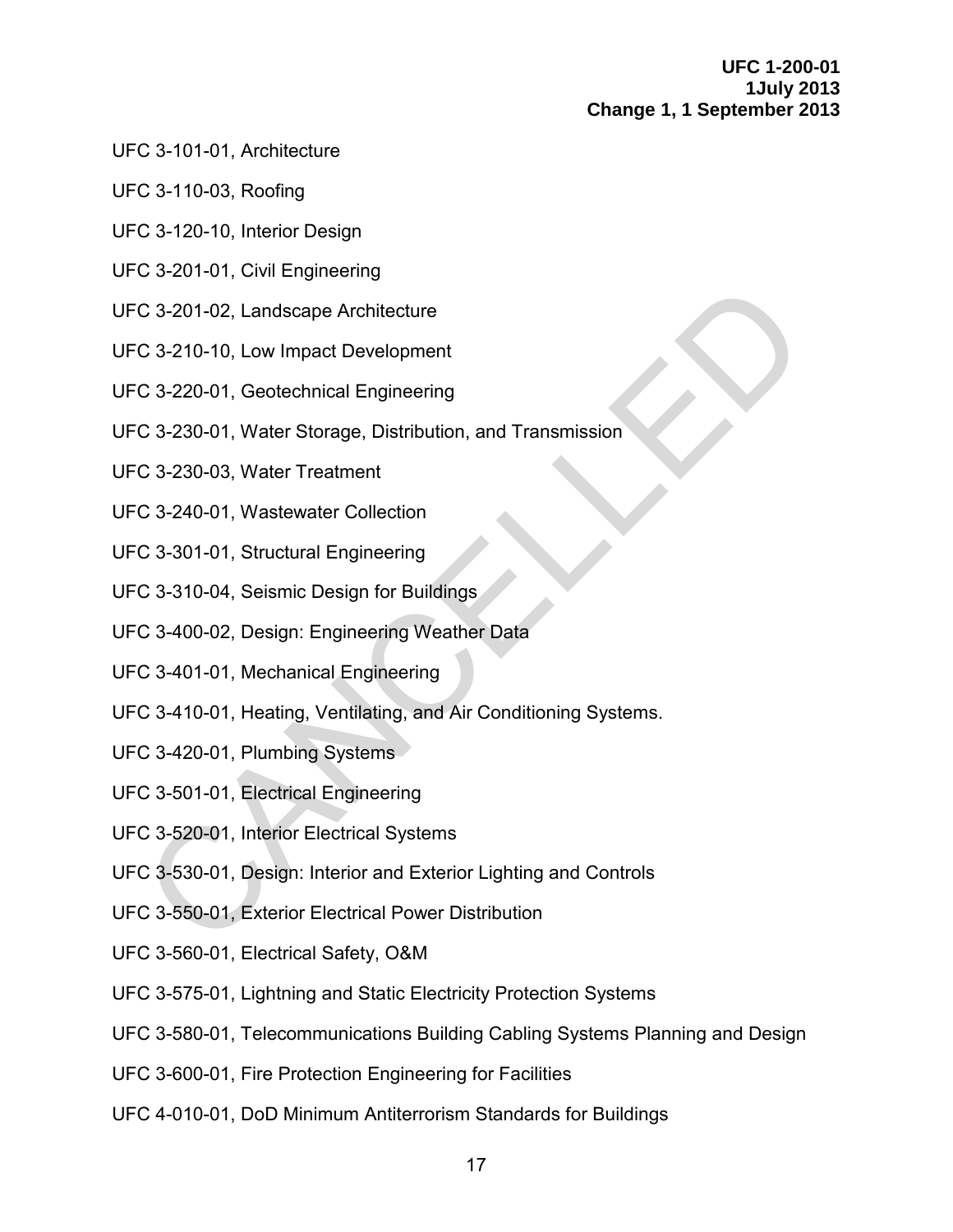- UFC 3-101-01, Architecture
- UFC 3-110-03, Roofing
- UFC 3-120-10, Interior Design
- UFC 3-201-01, Civil Engineering
- UFC 3-201-02, Landscape Architecture
- UFC 3-210-10, Low Impact Development
- UFC 3-220-01, Geotechnical Engineering
- UFC 3-230-01, Water Storage, Distribution, and Transmission
- UFC 3-230-03, Water Treatment
- UFC 3-240-01, Wastewater Collection
- UFC 3-301-01, Structural Engineering
- UFC 3-310-04, Seismic Design for Buildings
- UFC 3-400-02, Design: Engineering Weather Data
- UFC 3-401-01, Mechanical Engineering
- UFC 3-410-01, Heating, Ventilating, and Air Conditioning Systems. C 3-201-02, Landscape Architecture<br>
C 3-201-02, Landscape Architecture<br>
C 3-220-01, Geotechnical Engineering<br>
C 3-230-01, Water Storage, Distribution, and Transmission<br>
C 3-230-03, Water Treatment<br>
C 3-240-01, Wastewater C
- UFC 3-420-01, Plumbing Systems
- UFC 3-501-01, Electrical Engineering
- UFC 3-520-01, Interior Electrical Systems
- UFC 3-530-01, Design: Interior and Exterior Lighting and Controls
- UFC 3-550-01, Exterior Electrical Power Distribution
- UFC 3-560-01, Electrical Safety, O&M
- UFC 3-575-01, Lightning and Static Electricity Protection Systems
- UFC 3-580-01, Telecommunications Building Cabling Systems Planning and Design
- UFC 3-600-01, Fire Protection Engineering for Facilities
- UFC 4-010-01, DoD Minimum Antiterrorism Standards for Buildings